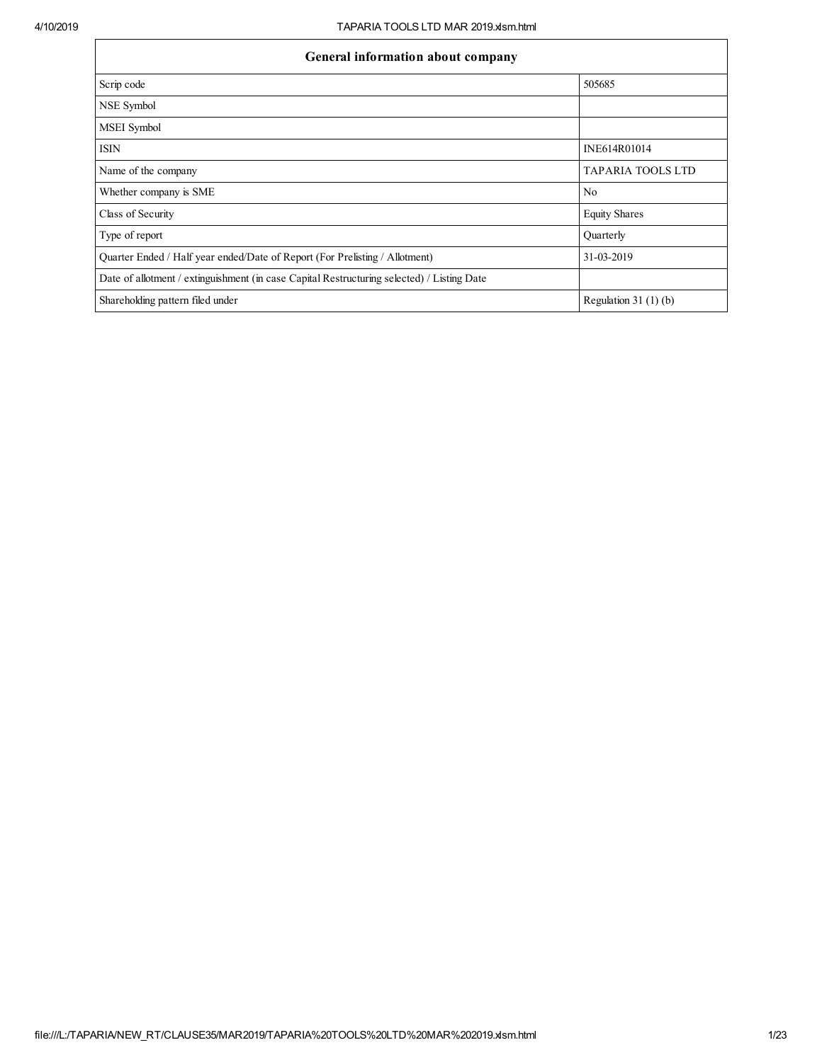| General information about company                                                          |                          |
|--------------------------------------------------------------------------------------------|--------------------------|
| Scrip code                                                                                 | 505685                   |
| NSE Symbol                                                                                 |                          |
| MSEI Symbol                                                                                |                          |
| <b>ISIN</b>                                                                                | INE614R01014             |
| Name of the company                                                                        | <b>TAPARIA TOOLS LTD</b> |
| Whether company is SME                                                                     | N <sub>0</sub>           |
| Class of Security                                                                          | <b>Equity Shares</b>     |
| Type of report                                                                             | Quarterly                |
| Quarter Ended / Half year ended/Date of Report (For Prelisting / Allotment)                | 31-03-2019               |
| Date of allotment / extinguishment (in case Capital Restructuring selected) / Listing Date |                          |
| Shareholding pattern filed under                                                           | Regulation $31(1)(b)$    |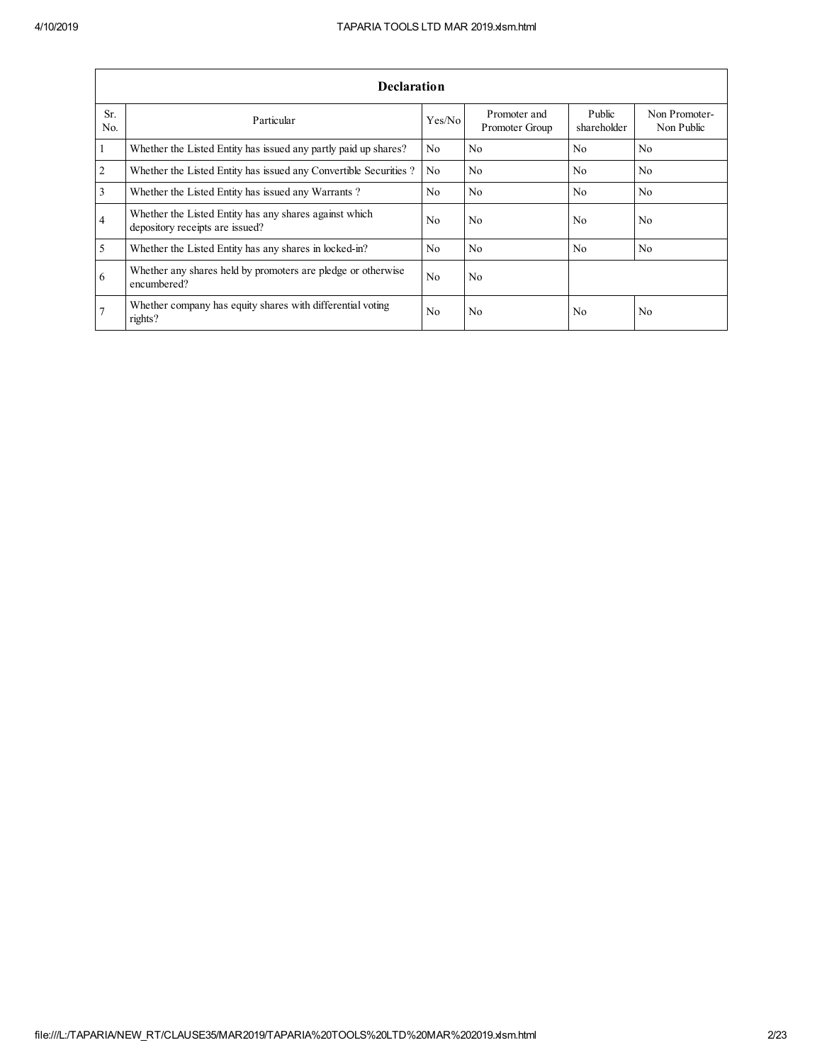|                         | <b>Declaration</b>                                                                        |                |                                |                       |                             |
|-------------------------|-------------------------------------------------------------------------------------------|----------------|--------------------------------|-----------------------|-----------------------------|
| Sr.<br>N <sub>0</sub>   | Particular                                                                                | Yes/No         | Promoter and<br>Promoter Group | Public<br>shareholder | Non Promoter-<br>Non Public |
| $\overline{1}$          | Whether the Listed Entity has issued any partly paid up shares?                           | N <sub>0</sub> | No                             | N <sub>0</sub>        | N <sub>0</sub>              |
| $\overline{2}$          | Whether the Listed Entity has issued any Convertible Securities?                          | N <sub>0</sub> | No                             | N <sub>0</sub>        | N <sub>0</sub>              |
| $\overline{\mathbf{3}}$ | Whether the Listed Entity has issued any Warrants?                                        | N <sub>0</sub> | No                             | N <sub>0</sub>        | N <sub>0</sub>              |
| $\overline{4}$          | Whether the Listed Entity has any shares against which<br>depository receipts are issued? | No             | N <sub>0</sub>                 | N <sub>0</sub>        | N <sub>0</sub>              |
| $\overline{5}$          | Whether the Listed Entity has any shares in locked-in?                                    | No             | N <sub>0</sub>                 | N <sub>0</sub>        | N <sub>0</sub>              |
| 6                       | Whether any shares held by promoters are pledge or otherwise<br>encumbered?               | N <sub>0</sub> | N <sub>0</sub>                 |                       |                             |
| $\overline{7}$          | Whether company has equity shares with differential voting<br>rights?                     | N <sub>0</sub> | N <sub>0</sub>                 | N <sub>0</sub>        | N <sub>0</sub>              |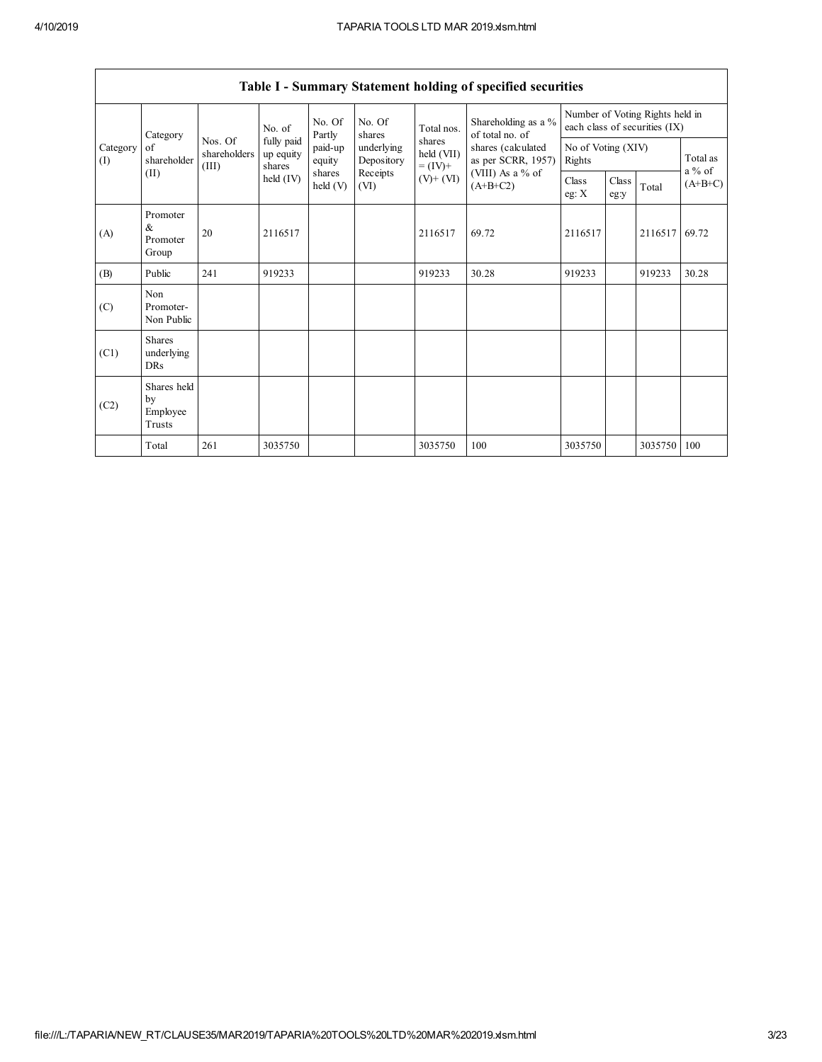$\mathsf{l}$ 

|                 |                                           |                                  |                                   |                    |                          |                                    | Table I - Summary Statement holding of specified securities |                              |               |                                                                  |                      |
|-----------------|-------------------------------------------|----------------------------------|-----------------------------------|--------------------|--------------------------|------------------------------------|-------------------------------------------------------------|------------------------------|---------------|------------------------------------------------------------------|----------------------|
|                 | Category                                  | Nos. Of<br>shareholders<br>(III) | No. of                            | No. Of<br>Partly   | No. Of<br>shares         | Total nos.                         | Shareholding as a %<br>of total no. of                      |                              |               | Number of Voting Rights held in<br>each class of securities (IX) |                      |
| Category<br>(I) | of<br>shareholder                         |                                  | fully paid<br>up equity<br>shares | paid-up<br>equity  | underlying<br>Depository | shares<br>held (VII)<br>$= (IV) +$ | shares (calculated<br>as per SCRR, 1957)                    | No of Voting (XIV)<br>Rights |               |                                                                  | Total as<br>$a\%$ of |
|                 | (II)                                      |                                  | held $(IV)$                       | shares<br>held (V) | Receipts<br>(VI)         | $(V)$ + $(VI)$                     | (VIII) As a % of<br>$(A+B+C2)$                              | Class<br>eg: $X$             | Class<br>eg:y | Total                                                            | $(A+B+C)$            |
| (A)             | Promoter<br>&<br>Promoter<br>Group        | 20                               | 2116517                           |                    |                          | 2116517                            | 69.72                                                       | 2116517                      |               | 2116517                                                          | 69.72                |
| (B)             | Public                                    | 241                              | 919233                            |                    |                          | 919233                             | 30.28                                                       | 919233                       |               | 919233                                                           | 30.28                |
| (C)             | Non<br>Promoter-<br>Non Public            |                                  |                                   |                    |                          |                                    |                                                             |                              |               |                                                                  |                      |
| (C1)            | <b>Shares</b><br>underlying<br><b>DRs</b> |                                  |                                   |                    |                          |                                    |                                                             |                              |               |                                                                  |                      |
| (C2)            | Shares held<br>by<br>Employee<br>Trusts   |                                  |                                   |                    |                          |                                    |                                                             |                              |               |                                                                  |                      |
|                 | Total                                     | 261                              | 3035750                           |                    |                          | 3035750                            | 100                                                         | 3035750                      |               | 3035750                                                          | 100                  |

Table I - Summary Statement holding of specified securities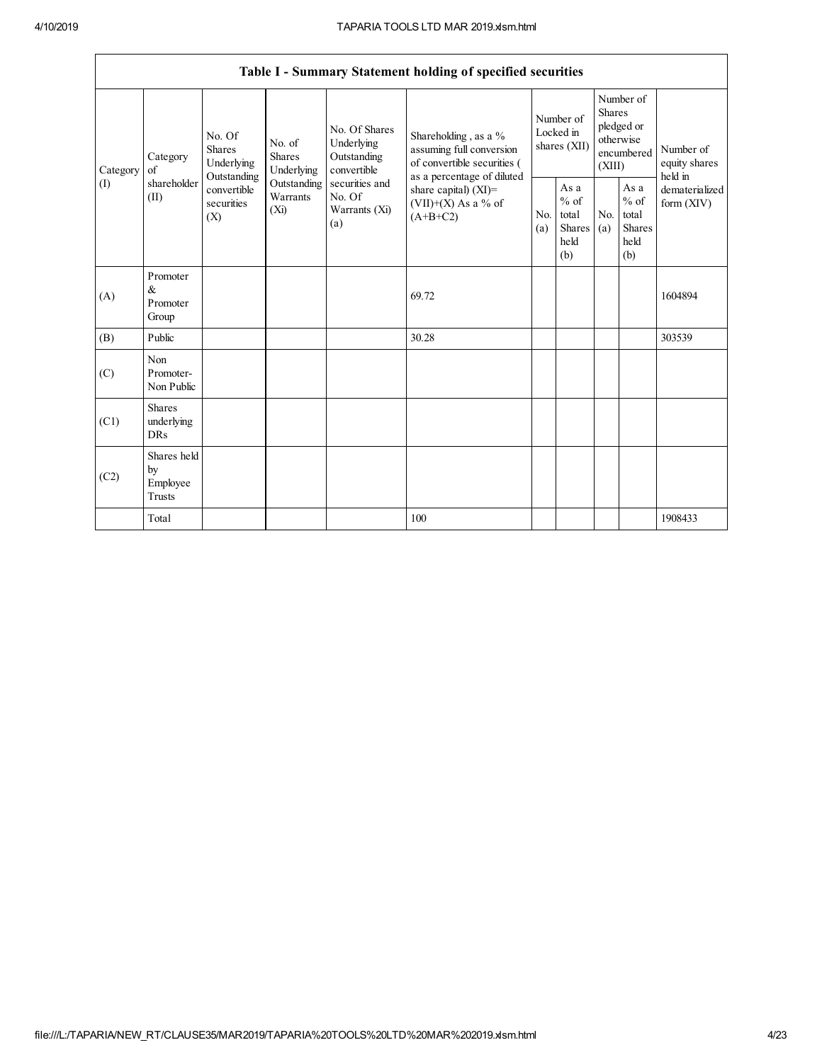$\overline{\phantom{a}}$ 

|          |                                           |                                                 |                                       |                                                           | Table I - Summary Statement holding of specified securities                                  |                       |                                                          |                         |                                                         |                                       |
|----------|-------------------------------------------|-------------------------------------------------|---------------------------------------|-----------------------------------------------------------|----------------------------------------------------------------------------------------------|-----------------------|----------------------------------------------------------|-------------------------|---------------------------------------------------------|---------------------------------------|
| Category | Category<br>of                            | No. Of<br><b>Shares</b><br>Underlying           | No. of<br><b>Shares</b><br>Underlying | No. Of Shares<br>Underlying<br>Outstanding<br>convertible | Shareholding, as a %<br>assuming full conversion<br>of convertible securities (              |                       | Number of<br>Locked in<br>shares (XII)                   | <b>Shares</b><br>(XIII) | Number of<br>pledged or<br>otherwise<br>encumbered      | Number of<br>equity shares<br>held in |
| (1)      | shareholder<br>(II)                       | Outstanding<br>convertible<br>securities<br>(X) | Outstanding<br>Warrants<br>$(X_i)$    | securities and<br>No. Of<br>Warrants (Xi)<br>(a)          | as a percentage of diluted<br>share capital) $(XI)$ =<br>$(VII)+(X)$ As a % of<br>$(A+B+C2)$ | N <sub>0</sub><br>(a) | As a<br>$\%$ of<br>total<br><b>Shares</b><br>held<br>(b) | N <sub>0</sub><br>(a)   | As a<br>$%$ of<br>total<br><b>Shares</b><br>held<br>(b) | dematerialized<br>form $(XIV)$        |
| (A)      | Promoter<br>&<br>Promoter<br>Group        |                                                 |                                       |                                                           | 69.72                                                                                        |                       |                                                          |                         |                                                         | 1604894                               |
| (B)      | Public                                    |                                                 |                                       |                                                           | 30.28                                                                                        |                       |                                                          |                         |                                                         | 303539                                |
| (C)      | Non<br>Promoter-<br>Non Public            |                                                 |                                       |                                                           |                                                                                              |                       |                                                          |                         |                                                         |                                       |
| (C1)     | <b>Shares</b><br>underlying<br><b>DRs</b> |                                                 |                                       |                                                           |                                                                                              |                       |                                                          |                         |                                                         |                                       |
| (C2)     | Shares held<br>by<br>Employee<br>Trusts   |                                                 |                                       |                                                           |                                                                                              |                       |                                                          |                         |                                                         |                                       |
|          | Total                                     |                                                 |                                       |                                                           | 100                                                                                          |                       |                                                          |                         |                                                         | 1908433                               |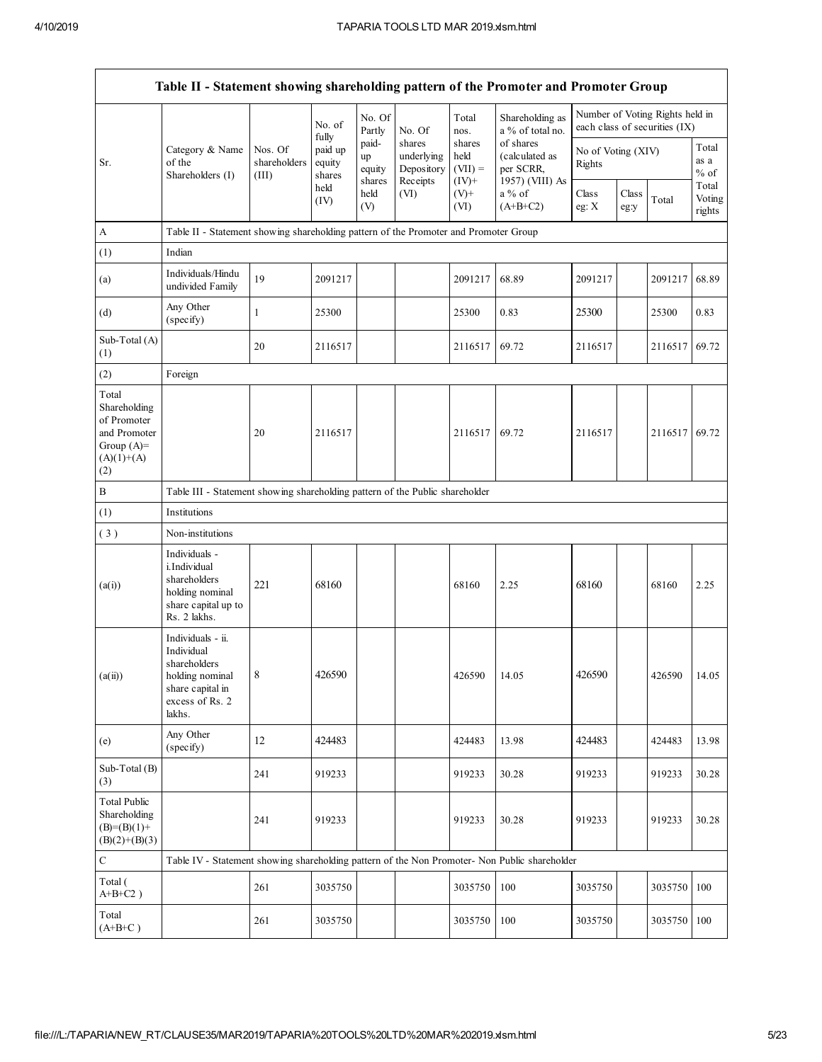|                                                                                             | Table II - Statement showing shareholding pattern of the Promoter and Promoter Group                                |                                  |                                      |                                 |                                                |                                         |                                                             |                              |               |                                                                  |                           |
|---------------------------------------------------------------------------------------------|---------------------------------------------------------------------------------------------------------------------|----------------------------------|--------------------------------------|---------------------------------|------------------------------------------------|-----------------------------------------|-------------------------------------------------------------|------------------------------|---------------|------------------------------------------------------------------|---------------------------|
|                                                                                             |                                                                                                                     |                                  | No. of                               | No. Of<br>Partly                | No. Of                                         | Total<br>nos.                           | Shareholding as<br>a % of total no.                         |                              |               | Number of Voting Rights held in<br>each class of securities (IX) |                           |
| Sr.                                                                                         | Category & Name<br>of the<br>Shareholders (I)                                                                       | Nos. Of<br>shareholders<br>(III) | fully<br>paid up<br>equity<br>shares | paid-<br>up<br>equity<br>shares | shares<br>underlying<br>Depository<br>Receipts | shares<br>held<br>$(VII) =$<br>$(IV)^+$ | of shares<br>(calculated as<br>per SCRR,<br>1957) (VIII) As | No of Voting (XIV)<br>Rights |               |                                                                  | Total<br>as a<br>$%$ of   |
|                                                                                             |                                                                                                                     |                                  | held<br>(IV)                         | held<br>(V)                     | (VI)                                           | $(V)+$<br>(VI)                          | a % of<br>$(A+B+C2)$                                        | Class<br>eg: $X$             | Class<br>eg:y | Total                                                            | Total<br>Voting<br>rights |
| A                                                                                           | Table II - Statement showing shareholding pattern of the Promoter and Promoter Group                                |                                  |                                      |                                 |                                                |                                         |                                                             |                              |               |                                                                  |                           |
| (1)                                                                                         | Indian                                                                                                              |                                  |                                      |                                 |                                                |                                         |                                                             |                              |               |                                                                  |                           |
| (a)                                                                                         | Individuals/Hindu<br>undivided Family                                                                               | 19                               | 2091217                              |                                 |                                                | 2091217                                 | 68.89                                                       | 2091217                      |               | 2091217                                                          | 68.89                     |
| (d)                                                                                         | Any Other<br>(specify)                                                                                              | 1                                | 25300                                |                                 |                                                | 25300                                   | 0.83                                                        | 25300                        |               | 25300                                                            | 0.83                      |
| Sub-Total (A)<br>(1)                                                                        |                                                                                                                     | 20                               | 2116517                              |                                 |                                                | 2116517                                 | 69.72                                                       | 2116517                      |               | 2116517                                                          | 69.72                     |
| (2)                                                                                         | Foreign                                                                                                             |                                  |                                      |                                 |                                                |                                         |                                                             |                              |               |                                                                  |                           |
| Total<br>Shareholding<br>of Promoter<br>and Promoter<br>Group $(A)=$<br>$(A)(1)+(A)$<br>(2) |                                                                                                                     | 20                               | 2116517                              |                                 |                                                | 2116517                                 | 69.72                                                       | 2116517                      |               | 2116517                                                          | 69.72                     |
| $\, {\bf B}$                                                                                | Table III - Statement showing shareholding pattern of the Public shareholder                                        |                                  |                                      |                                 |                                                |                                         |                                                             |                              |               |                                                                  |                           |
| (1)                                                                                         | Institutions                                                                                                        |                                  |                                      |                                 |                                                |                                         |                                                             |                              |               |                                                                  |                           |
| (3)                                                                                         | Non-institutions                                                                                                    |                                  |                                      |                                 |                                                |                                         |                                                             |                              |               |                                                                  |                           |
| (a(i))                                                                                      | Individuals -<br>i.Individual<br>shareholders<br>holding nominal<br>share capital up to<br>Rs. 2 lakhs.             | 221                              | 68160                                |                                 |                                                | 68160                                   | 2.25                                                        | 68160                        |               | 68160                                                            | 2.25                      |
| (a(ii))                                                                                     | Individuals - ii.<br>Individual<br>shareholders<br>holding nominal<br>share capital in<br>excess of Rs. 2<br>lakhs. | 8                                | 426590                               |                                 |                                                | 426590                                  | 14.05                                                       | 426590                       |               | 426590                                                           | 14.05                     |
| (e)                                                                                         | Any Other<br>(specify)                                                                                              | 12                               | 424483                               |                                 |                                                | 424483                                  | 13.98                                                       | 424483                       |               | 424483                                                           | 13.98                     |
| Sub-Total (B)<br>(3)                                                                        |                                                                                                                     | 241                              | 919233                               |                                 |                                                | 919233                                  | 30.28                                                       | 919233                       |               | 919233                                                           | 30.28                     |
| <b>Total Public</b><br>Shareholding<br>$(B)=(B)(1)+$<br>$(B)(2)+(B)(3)$                     |                                                                                                                     | 241                              | 919233                               |                                 |                                                | 919233                                  | 30.28                                                       | 919233                       |               | 919233                                                           | 30.28                     |
| $\mathbf C$                                                                                 | Table IV - Statement showing shareholding pattern of the Non Promoter- Non Public shareholder                       |                                  |                                      |                                 |                                                |                                         |                                                             |                              |               |                                                                  |                           |
| Total (<br>$A+B+C2$ )                                                                       |                                                                                                                     | 261                              | 3035750                              |                                 |                                                | 3035750                                 | 100                                                         | 3035750                      |               | 3035750                                                          | 100                       |
| Total<br>$(A+B+C)$                                                                          |                                                                                                                     | 261                              | 3035750                              |                                 |                                                | 3035750                                 | 100                                                         | 3035750                      |               | 3035750                                                          | 100                       |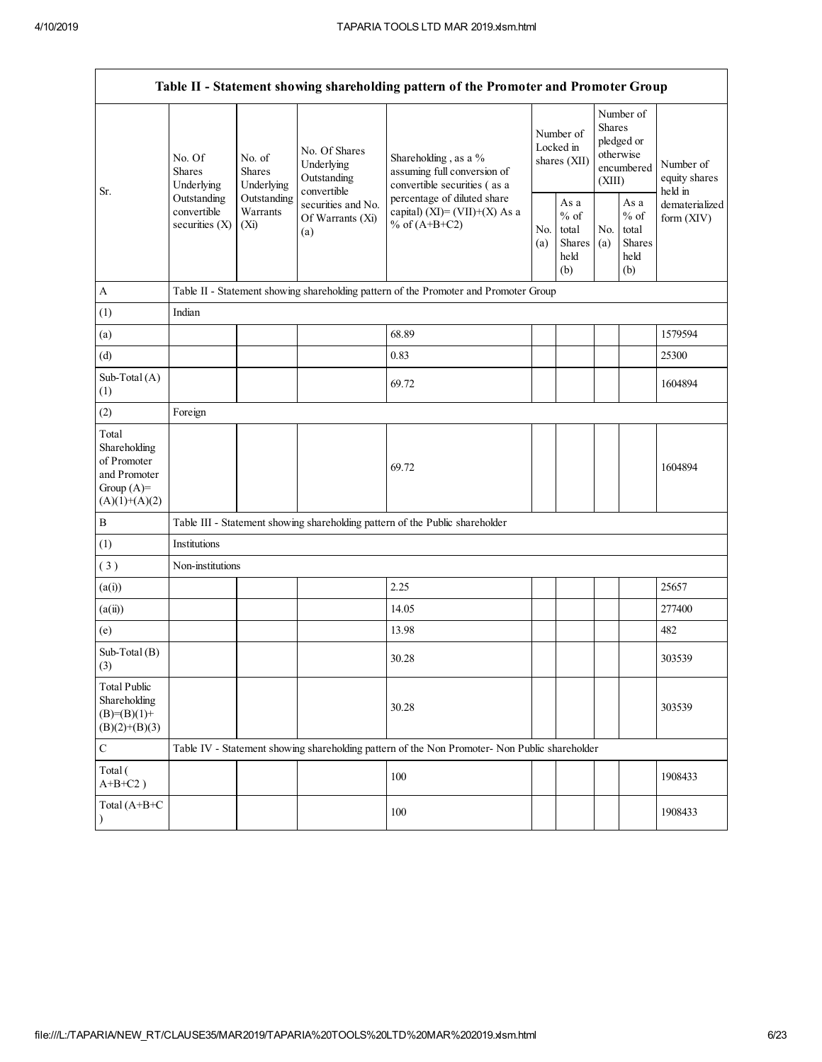|                                                                                         |                                                |                                       |                                                           | Table II - Statement showing shareholding pattern of the Promoter and Promoter Group          |                                        |                                                  |                                                                               |                                                  |                                       |
|-----------------------------------------------------------------------------------------|------------------------------------------------|---------------------------------------|-----------------------------------------------------------|-----------------------------------------------------------------------------------------------|----------------------------------------|--------------------------------------------------|-------------------------------------------------------------------------------|--------------------------------------------------|---------------------------------------|
|                                                                                         | No. Of<br><b>Shares</b><br>Underlying          | No. of<br><b>Shares</b><br>Underlying | No. Of Shares<br>Underlying<br>Outstanding<br>convertible | Shareholding, as a %<br>assuming full conversion of<br>convertible securities (as a           | Number of<br>Locked in<br>shares (XII) |                                                  | Number of<br><b>Shares</b><br>pledged or<br>otherwise<br>encumbered<br>(XIII) |                                                  | Number of<br>equity shares<br>held in |
| Sr.                                                                                     | Outstanding<br>convertible<br>securities $(X)$ | Outstanding<br>Warrants<br>$(X_i)$    | securities and No.<br>Of Warrants (Xi)<br>(a)             | percentage of diluted share<br>capital) $(XI) = (VII)+(X) As a$<br>% of $(A+B+C2)$            | No.<br>(a)                             | As a<br>$%$ of<br>total<br>Shares<br>held<br>(b) | No.<br>(a)                                                                    | As a<br>$%$ of<br>total<br>Shares<br>held<br>(b) | dematerialized<br>form $(XIV)$        |
| A                                                                                       |                                                |                                       |                                                           | Table II - Statement showing shareholding pattern of the Promoter and Promoter Group          |                                        |                                                  |                                                                               |                                                  |                                       |
| (1)                                                                                     | Indian                                         |                                       |                                                           |                                                                                               |                                        |                                                  |                                                                               |                                                  |                                       |
| (a)                                                                                     |                                                |                                       |                                                           | 68.89                                                                                         |                                        |                                                  |                                                                               |                                                  | 1579594                               |
| (d)                                                                                     |                                                |                                       |                                                           | 0.83                                                                                          |                                        |                                                  |                                                                               |                                                  | 25300                                 |
| Sub-Total $(A)$<br>(1)                                                                  |                                                |                                       |                                                           | 69.72                                                                                         |                                        |                                                  |                                                                               |                                                  | 1604894                               |
| (2)                                                                                     | Foreign                                        |                                       |                                                           |                                                                                               |                                        |                                                  |                                                                               |                                                  |                                       |
| Total<br>Shareholding<br>of Promoter<br>and Promoter<br>Group $(A)=$<br>$(A)(1)+(A)(2)$ |                                                |                                       |                                                           | 69.72                                                                                         |                                        |                                                  |                                                                               |                                                  | 1604894                               |
| $\mathbf B$                                                                             |                                                |                                       |                                                           | Table III - Statement showing shareholding pattern of the Public shareholder                  |                                        |                                                  |                                                                               |                                                  |                                       |
| (1)                                                                                     | Institutions                                   |                                       |                                                           |                                                                                               |                                        |                                                  |                                                                               |                                                  |                                       |
| (3)                                                                                     | Non-institutions                               |                                       |                                                           |                                                                                               |                                        |                                                  |                                                                               |                                                  |                                       |
| (a(i))                                                                                  |                                                |                                       |                                                           | 2.25                                                                                          |                                        |                                                  |                                                                               |                                                  | 25657                                 |
| (a(ii))                                                                                 |                                                |                                       |                                                           | 14.05                                                                                         |                                        |                                                  |                                                                               |                                                  | 277400                                |
| (e)                                                                                     |                                                |                                       |                                                           | 13.98                                                                                         |                                        |                                                  |                                                                               |                                                  | 482                                   |
| Sub-Total $(B)$<br>(3)                                                                  |                                                |                                       |                                                           | 30.28                                                                                         |                                        |                                                  |                                                                               |                                                  | 303539                                |
| <b>Total Public</b><br>Shareholding<br>$(B)=(B)(1)+$<br>$(B)(2)+(B)(3)$                 |                                                |                                       |                                                           | 30.28                                                                                         |                                        |                                                  |                                                                               |                                                  | 303539                                |
| $\mathbf C$                                                                             |                                                |                                       |                                                           | Table IV - Statement showing shareholding pattern of the Non Promoter- Non Public shareholder |                                        |                                                  |                                                                               |                                                  |                                       |
| Total (<br>$A+B+C2$ )                                                                   |                                                |                                       |                                                           | 100                                                                                           |                                        |                                                  |                                                                               |                                                  | 1908433                               |
| Total (A+B+C                                                                            |                                                |                                       |                                                           | 100                                                                                           |                                        |                                                  |                                                                               |                                                  | 1908433                               |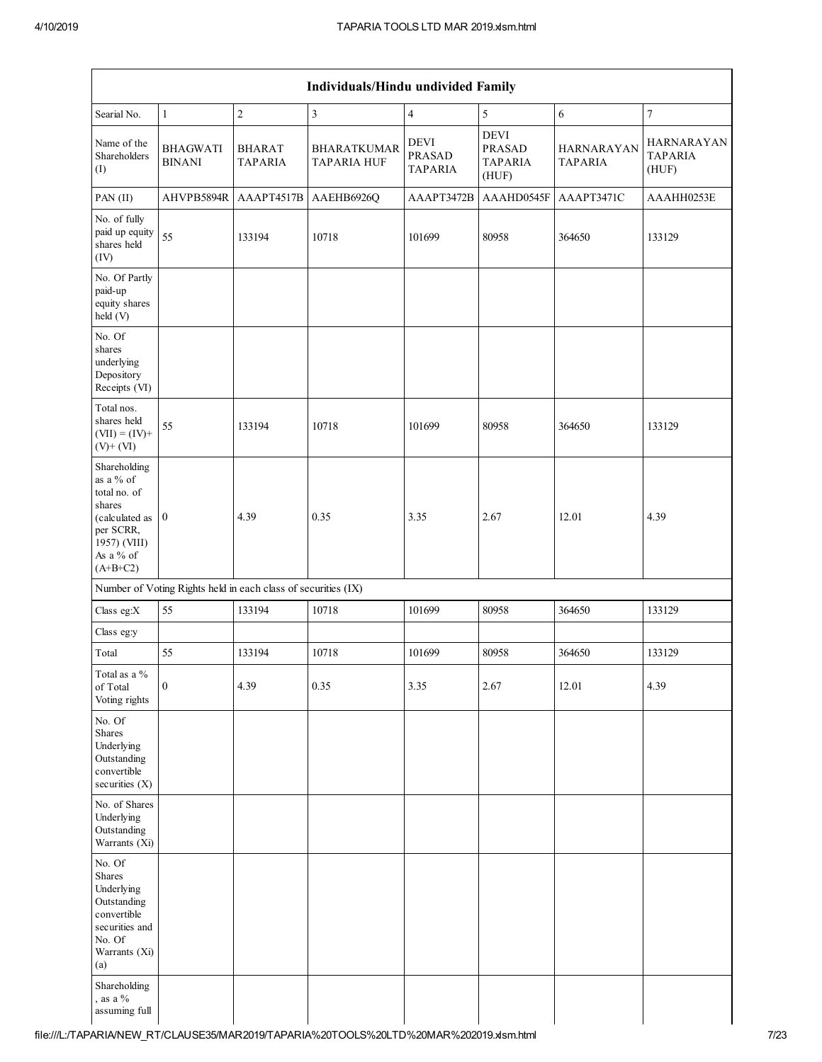| Individuals/Hindu undivided Family                                                                                            |                                                                                                              |                                 |                                          |                                         |                                                         |                                     |                                              |  |  |  |  |  |  |
|-------------------------------------------------------------------------------------------------------------------------------|--------------------------------------------------------------------------------------------------------------|---------------------------------|------------------------------------------|-----------------------------------------|---------------------------------------------------------|-------------------------------------|----------------------------------------------|--|--|--|--|--|--|
| Searial No.                                                                                                                   | $\overline{\mathbf{3}}$<br>$\overline{7}$<br>$\sqrt{2}$<br>$\overline{\mathbf{4}}$<br>5<br>$\mathbf{1}$<br>6 |                                 |                                          |                                         |                                                         |                                     |                                              |  |  |  |  |  |  |
| Name of the<br>Shareholders<br>(I)                                                                                            | <b>BHAGWATI</b><br><b>BINANI</b>                                                                             | <b>BHARAT</b><br><b>TAPARIA</b> | <b>BHARATKUMAR</b><br><b>TAPARIA HUF</b> | DEVI<br><b>PRASAD</b><br><b>TAPARIA</b> | <b>DEVI</b><br><b>PRASAD</b><br><b>TAPARIA</b><br>(HUF) | <b>HARNARAYAN</b><br><b>TAPARIA</b> | <b>HARNARAYAN</b><br><b>TAPARIA</b><br>(HUF) |  |  |  |  |  |  |
| PAN (II)                                                                                                                      | AHVPB5894R                                                                                                   | AAAPT4517B                      | AAEHB6926Q                               | AAAPT3472B                              | AAAHD0545F                                              | AAAPT3471C                          | AAAHH0253E                                   |  |  |  |  |  |  |
| No. of fully<br>paid up equity<br>shares held<br>(IV)                                                                         | 55                                                                                                           | 133194                          | 10718                                    | 101699                                  | 80958                                                   | 364650                              | 133129                                       |  |  |  |  |  |  |
| No. Of Partly<br>paid-up<br>equity shares<br>held (V)                                                                         |                                                                                                              |                                 |                                          |                                         |                                                         |                                     |                                              |  |  |  |  |  |  |
| No. Of<br>shares<br>underlying<br>Depository<br>Receipts (VI)                                                                 |                                                                                                              |                                 |                                          |                                         |                                                         |                                     |                                              |  |  |  |  |  |  |
| Total nos.<br>shares held<br>$(VII) = (IV) +$<br>$(V)+(VI)$                                                                   | 55                                                                                                           | 133194                          | 10718                                    | 101699                                  | 80958                                                   | 364650                              | 133129                                       |  |  |  |  |  |  |
| Shareholding<br>as a % of<br>total no. of<br>shares<br>(calculated as<br>per SCRR,<br>1957) (VIII)<br>As a % of<br>$(A+B+C2)$ | $\overline{0}$                                                                                               | 4.39                            | 0.35                                     | 3.35                                    | 2.67                                                    | 12.01                               | 4.39                                         |  |  |  |  |  |  |
|                                                                                                                               | Number of Voting Rights held in each class of securities (IX)                                                |                                 |                                          |                                         |                                                         |                                     |                                              |  |  |  |  |  |  |
| Class eg:X                                                                                                                    | 55                                                                                                           | 133194                          | 10718                                    | 101699                                  | 80958                                                   | 364650                              | 133129                                       |  |  |  |  |  |  |
| Class eg:y                                                                                                                    |                                                                                                              |                                 |                                          |                                         |                                                         |                                     |                                              |  |  |  |  |  |  |
| Total                                                                                                                         | 55                                                                                                           | 133194                          | 10718                                    | 101699                                  | 80958                                                   | 364650                              | 133129                                       |  |  |  |  |  |  |
| Total as a %<br>of Total<br>Voting rights                                                                                     | $\boldsymbol{0}$                                                                                             | 4.39                            | 0.35                                     | 3.35                                    | 2.67                                                    | 12.01                               | 4.39                                         |  |  |  |  |  |  |
| No. Of<br>Shares<br>Underlying<br>Outstanding<br>convertible<br>securities (X)                                                |                                                                                                              |                                 |                                          |                                         |                                                         |                                     |                                              |  |  |  |  |  |  |
| No. of Shares<br>Underlying<br>Outstanding<br>Warrants (Xi)                                                                   |                                                                                                              |                                 |                                          |                                         |                                                         |                                     |                                              |  |  |  |  |  |  |
| No. Of<br>Shares<br>Underlying<br>Outstanding<br>convertible<br>securities and<br>No. Of<br>Warrants (Xi)<br>(a)              |                                                                                                              |                                 |                                          |                                         |                                                         |                                     |                                              |  |  |  |  |  |  |
| Shareholding<br>, as a $%$<br>assuming full                                                                                   |                                                                                                              |                                 |                                          |                                         |                                                         |                                     |                                              |  |  |  |  |  |  |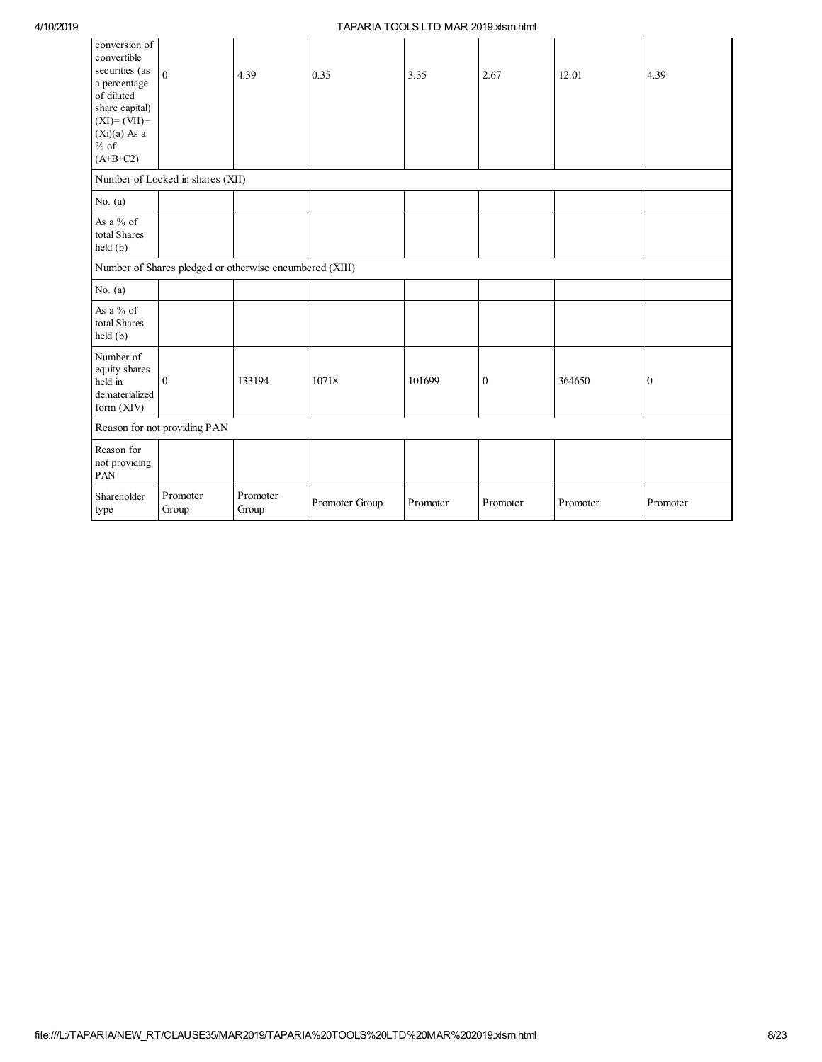| conversion of<br>convertible<br>securities (as<br>a percentage<br>of diluted<br>share capital)<br>$(XI)=(VII)+$<br>$(Xi)(a)$ As a<br>$\%$ of<br>$(A+B+C2)$ | $\mathbf{0}$                     | 4.39                                                    | 0.35           | 3.35     | 2.67             | 12.01    | 4.39             |
|------------------------------------------------------------------------------------------------------------------------------------------------------------|----------------------------------|---------------------------------------------------------|----------------|----------|------------------|----------|------------------|
|                                                                                                                                                            | Number of Locked in shares (XII) |                                                         |                |          |                  |          |                  |
| No. $(a)$                                                                                                                                                  |                                  |                                                         |                |          |                  |          |                  |
| As a $%$ of<br>total Shares<br>held (b)                                                                                                                    |                                  |                                                         |                |          |                  |          |                  |
|                                                                                                                                                            |                                  | Number of Shares pledged or otherwise encumbered (XIII) |                |          |                  |          |                  |
| No. $(a)$                                                                                                                                                  |                                  |                                                         |                |          |                  |          |                  |
| As a $%$ of<br>total Shares<br>held (b)                                                                                                                    |                                  |                                                         |                |          |                  |          |                  |
| Number of<br>equity shares<br>held in<br>dematerialized<br>form (XIV)                                                                                      | $\overline{0}$                   | 133194                                                  | 10718          | 101699   | $\boldsymbol{0}$ | 364650   | $\boldsymbol{0}$ |
|                                                                                                                                                            | Reason for not providing PAN     |                                                         |                |          |                  |          |                  |
| Reason for<br>not providing<br>PAN                                                                                                                         |                                  |                                                         |                |          |                  |          |                  |
| Shareholder<br>type                                                                                                                                        | Promoter<br>Group                | Promoter<br>Group                                       | Promoter Group | Promoter | Promoter         | Promoter | Promoter         |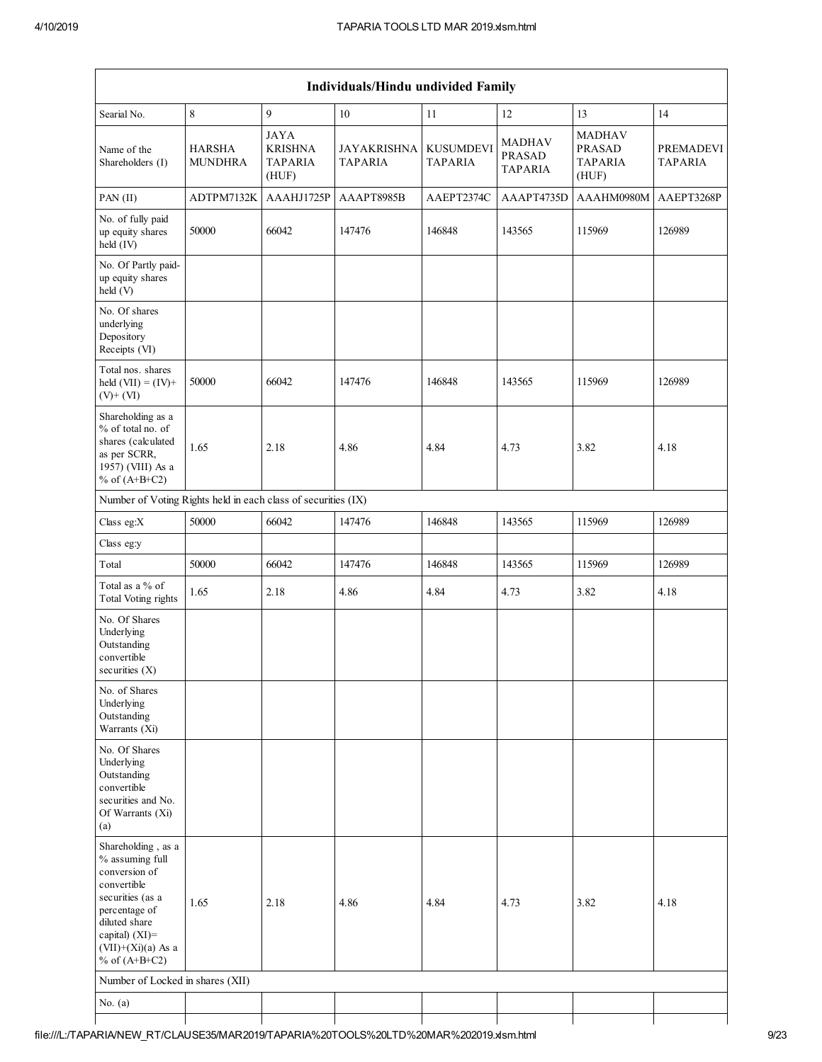| Individuals/Hindu undivided Family                                                                                                                                                          |                                 |                                                          |                                      |                                    |                                           |                                                           |                                    |  |  |  |  |
|---------------------------------------------------------------------------------------------------------------------------------------------------------------------------------------------|---------------------------------|----------------------------------------------------------|--------------------------------------|------------------------------------|-------------------------------------------|-----------------------------------------------------------|------------------------------------|--|--|--|--|
| Searial No.                                                                                                                                                                                 | $\,8\,$                         | 9                                                        | 10                                   | 11                                 | 12                                        | 13                                                        | 14                                 |  |  |  |  |
| Name of the<br>Shareholders (I)                                                                                                                                                             | <b>HARSHA</b><br><b>MUNDHRA</b> | <b>JAYA</b><br><b>KRISHNA</b><br><b>TAPARIA</b><br>(HUF) | <b>JAYAKRISHNA</b><br><b>TAPARIA</b> | <b>KUSUMDEVI</b><br><b>TAPARIA</b> | MADHAV<br><b>PRASAD</b><br><b>TAPARIA</b> | <b>MADHAV</b><br><b>PRASAD</b><br><b>TAPARIA</b><br>(HUF) | <b>PREMADEVI</b><br><b>TAPARIA</b> |  |  |  |  |
| PAN (II)                                                                                                                                                                                    | ADTPM7132K                      | AAAHJ1725P                                               | AAAPT8985B                           | AAEPT2374C                         | AAAPT4735D                                | AAAHM0980M                                                | AAEPT3268P                         |  |  |  |  |
| No. of fully paid<br>up equity shares<br>held (IV)                                                                                                                                          | 50000                           | 66042                                                    | 147476                               | 146848                             | 143565                                    | 115969                                                    | 126989                             |  |  |  |  |
| No. Of Partly paid-<br>up equity shares<br>held (V)                                                                                                                                         |                                 |                                                          |                                      |                                    |                                           |                                                           |                                    |  |  |  |  |
| No. Of shares<br>underlying<br>Depository<br>Receipts (VI)                                                                                                                                  |                                 |                                                          |                                      |                                    |                                           |                                                           |                                    |  |  |  |  |
| Total nos. shares<br>held $(VII) = (IV) +$<br>$(V)$ + $(VI)$                                                                                                                                | 50000                           | 66042                                                    | 147476                               | 146848                             | 143565                                    | 115969                                                    | 126989                             |  |  |  |  |
| Shareholding as a<br>% of total no. of<br>shares (calculated<br>as per SCRR,<br>1957) (VIII) As a<br>% of $(A+B+C2)$                                                                        | 1.65                            | 2.18                                                     | 4.86                                 | 4.84                               | 4.73                                      | 3.82                                                      | 4.18                               |  |  |  |  |
| Number of Voting Rights held in each class of securities (IX)                                                                                                                               |                                 |                                                          |                                      |                                    |                                           |                                                           |                                    |  |  |  |  |
| Class eg:X                                                                                                                                                                                  | 50000                           | 66042                                                    | 147476                               | 146848                             | 143565                                    | 115969                                                    | 126989                             |  |  |  |  |
| Class eg:y                                                                                                                                                                                  |                                 |                                                          |                                      |                                    |                                           |                                                           |                                    |  |  |  |  |
| Total                                                                                                                                                                                       | 50000                           | 66042                                                    | 147476                               | 146848                             | 143565                                    | 115969                                                    | 126989                             |  |  |  |  |
| Total as a % of<br><b>Total Voting rights</b>                                                                                                                                               | 1.65                            | 2.18                                                     | 4.86                                 | 4.84                               | 4.73                                      | 3.82                                                      | 4.18                               |  |  |  |  |
| No. Of Shares<br>Underlying<br>Outstanding<br>convertible<br>securities $(X)$                                                                                                               |                                 |                                                          |                                      |                                    |                                           |                                                           |                                    |  |  |  |  |
| No. of Shares<br>Underlying<br>Outstanding<br>Warrants (Xi)                                                                                                                                 |                                 |                                                          |                                      |                                    |                                           |                                                           |                                    |  |  |  |  |
| No. Of Shares<br>Underlying<br>Outstanding<br>convertible<br>securities and No.<br>Of Warrants (Xi)<br>(a)                                                                                  |                                 |                                                          |                                      |                                    |                                           |                                                           |                                    |  |  |  |  |
| Shareholding, as a<br>% assuming full<br>conversion of<br>convertible<br>securities (as a<br>percentage of<br>diluted share<br>capital) $(XI)$ =<br>$(VII)+(Xi)(a)$ As a<br>% of $(A+B+C2)$ | 1.65                            | 2.18                                                     | 4.86                                 | 4.84                               | 4.73                                      | 3.82                                                      | 4.18                               |  |  |  |  |
| Number of Locked in shares (XII)                                                                                                                                                            |                                 |                                                          |                                      |                                    |                                           |                                                           |                                    |  |  |  |  |
| No. $(a)$                                                                                                                                                                                   |                                 |                                                          |                                      |                                    |                                           |                                                           |                                    |  |  |  |  |
|                                                                                                                                                                                             |                                 |                                                          |                                      |                                    |                                           |                                                           |                                    |  |  |  |  |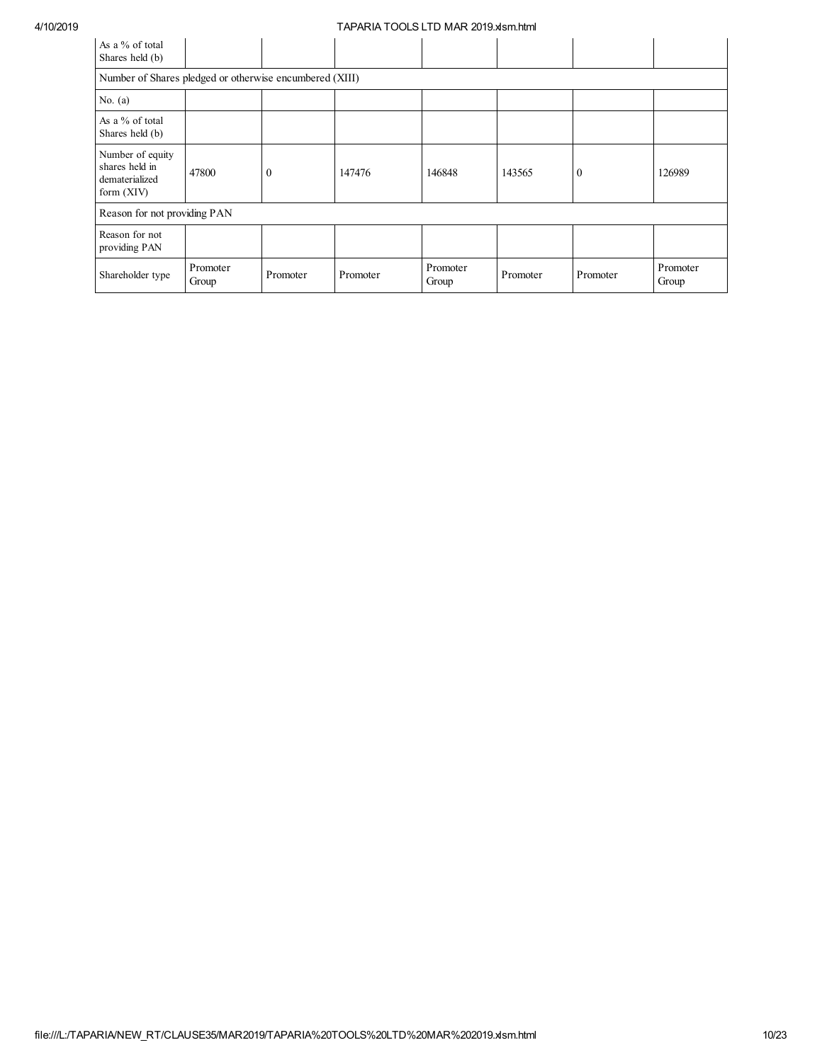| As a % of total<br>Shares held (b)                                   |                   |          |          |                   |          |              |                   |
|----------------------------------------------------------------------|-------------------|----------|----------|-------------------|----------|--------------|-------------------|
| Number of Shares pledged or otherwise encumbered (XIII)              |                   |          |          |                   |          |              |                   |
| No. $(a)$                                                            |                   |          |          |                   |          |              |                   |
| As a % of total<br>Shares held (b)                                   |                   |          |          |                   |          |              |                   |
| Number of equity<br>shares held in<br>dematerialized<br>form $(XIV)$ | 47800             | $\theta$ | 147476   | 146848            | 143565   | $\mathbf{0}$ | 126989            |
| Reason for not providing PAN                                         |                   |          |          |                   |          |              |                   |
| Reason for not<br>providing PAN                                      |                   |          |          |                   |          |              |                   |
| Shareholder type                                                     | Promoter<br>Group | Promoter | Promoter | Promoter<br>Group | Promoter | Promoter     | Promoter<br>Group |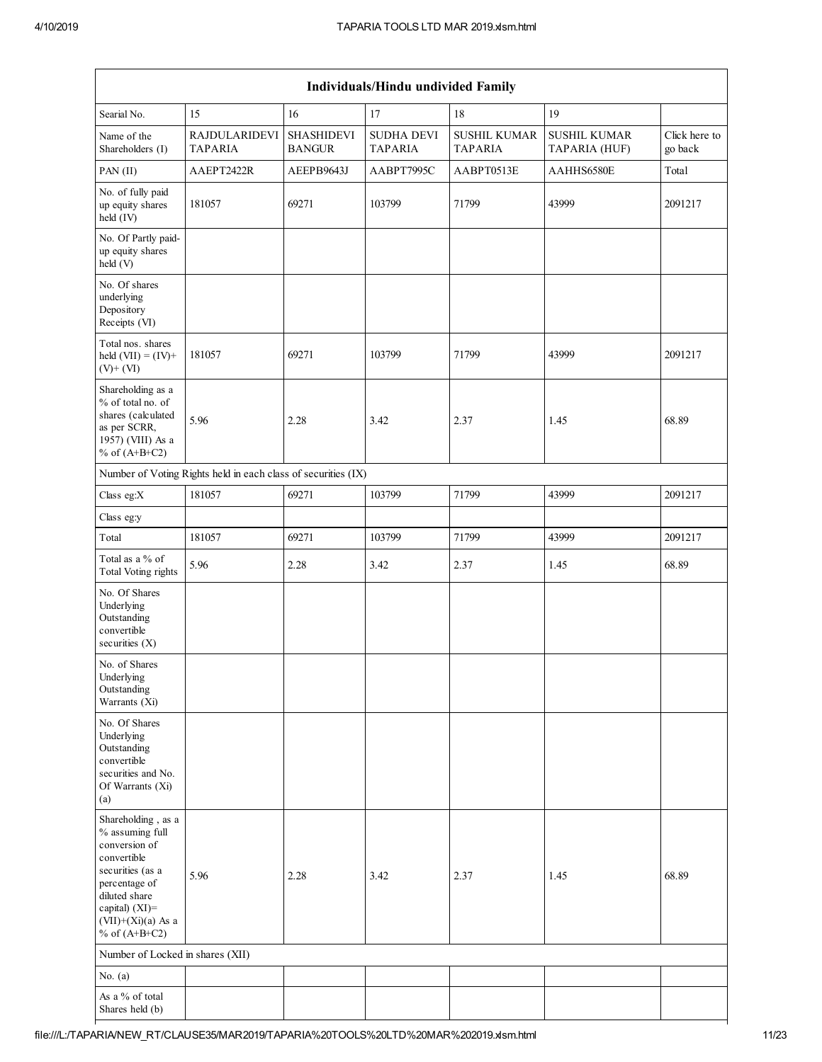|                                                                                                                                                                                          | Individuals/Hindu undivided Family                            |                                    |                                     |                                       |                                      |                          |  |  |  |  |  |  |
|------------------------------------------------------------------------------------------------------------------------------------------------------------------------------------------|---------------------------------------------------------------|------------------------------------|-------------------------------------|---------------------------------------|--------------------------------------|--------------------------|--|--|--|--|--|--|
| Searial No.                                                                                                                                                                              | 15                                                            | 16                                 | 17                                  | 18                                    | 19                                   |                          |  |  |  |  |  |  |
| Name of the<br>Shareholders (I)                                                                                                                                                          | <b>RAJDULARIDEVI</b><br>TAPARIA                               | <b>SHASHIDEVI</b><br><b>BANGUR</b> | <b>SUDHA DEVI</b><br><b>TAPARIA</b> | <b>SUSHIL KUMAR</b><br><b>TAPARIA</b> | <b>SUSHIL KUMAR</b><br>TAPARIA (HUF) | Click here to<br>go back |  |  |  |  |  |  |
| $PAN$ (II)                                                                                                                                                                               | AAEPT2422R                                                    | AEEPB9643J                         | AABPT7995C                          | AABPT0513E                            | AAHHS6580E                           | Total                    |  |  |  |  |  |  |
| No. of fully paid<br>up equity shares<br>held (IV)                                                                                                                                       | 181057                                                        | 69271                              | 103799                              | 71799                                 | 43999                                | 2091217                  |  |  |  |  |  |  |
| No. Of Partly paid-<br>up equity shares<br>held (V)                                                                                                                                      |                                                               |                                    |                                     |                                       |                                      |                          |  |  |  |  |  |  |
| No. Of shares<br>underlying<br>Depository<br>Receipts (VI)                                                                                                                               |                                                               |                                    |                                     |                                       |                                      |                          |  |  |  |  |  |  |
| Total nos. shares<br>held $(VII) = (IV) +$<br>$(V)$ + $(VI)$                                                                                                                             | 181057                                                        | 69271                              | 103799                              | 71799                                 | 43999                                | 2091217                  |  |  |  |  |  |  |
| Shareholding as a<br>% of total no. of<br>shares (calculated<br>as per SCRR,<br>1957) (VIII) As a<br>% of $(A+B+C2)$                                                                     | 5.96                                                          | 2.28                               | 3.42                                | 2.37                                  | 1.45                                 | 68.89                    |  |  |  |  |  |  |
|                                                                                                                                                                                          | Number of Voting Rights held in each class of securities (IX) |                                    |                                     |                                       |                                      |                          |  |  |  |  |  |  |
| Class eg:X                                                                                                                                                                               | 181057                                                        | 69271                              | 103799                              | 71799                                 | 43999                                | 2091217                  |  |  |  |  |  |  |
| Class eg:y                                                                                                                                                                               |                                                               |                                    |                                     |                                       |                                      |                          |  |  |  |  |  |  |
| Total                                                                                                                                                                                    | 181057                                                        | 69271                              | 103799                              | 71799                                 | 43999                                | 2091217                  |  |  |  |  |  |  |
| Total as a % of<br><b>Total Voting rights</b>                                                                                                                                            | 5.96                                                          | 2.28                               | 3.42                                | 2.37                                  | 1.45                                 | 68.89                    |  |  |  |  |  |  |
| No. Of Shares<br>Underlying<br>Outstanding<br>convertible<br>securities $(X)$                                                                                                            |                                                               |                                    |                                     |                                       |                                      |                          |  |  |  |  |  |  |
| No. of Shares<br>Underlying<br>Outstanding<br>Warrants (Xi)                                                                                                                              |                                                               |                                    |                                     |                                       |                                      |                          |  |  |  |  |  |  |
| No. Of Shares<br>Underlying<br>Outstanding<br>convertible<br>securities and No.<br>Of Warrants (Xi)<br>(a)                                                                               |                                                               |                                    |                                     |                                       |                                      |                          |  |  |  |  |  |  |
| Shareholding, as a<br>% assuming full<br>conversion of<br>convertible<br>securities (as a<br>percentage of<br>diluted share<br>capital) (XI)=<br>$(VII)+(Xi)(a)$ As a<br>% of $(A+B+C2)$ | 5.96                                                          | 2.28                               | 3.42                                | 2.37                                  | 1.45                                 | 68.89                    |  |  |  |  |  |  |
| Number of Locked in shares (XII)                                                                                                                                                         |                                                               |                                    |                                     |                                       |                                      |                          |  |  |  |  |  |  |
| No. $(a)$                                                                                                                                                                                |                                                               |                                    |                                     |                                       |                                      |                          |  |  |  |  |  |  |
| As a % of total<br>Shares held (b)                                                                                                                                                       |                                                               |                                    |                                     |                                       |                                      |                          |  |  |  |  |  |  |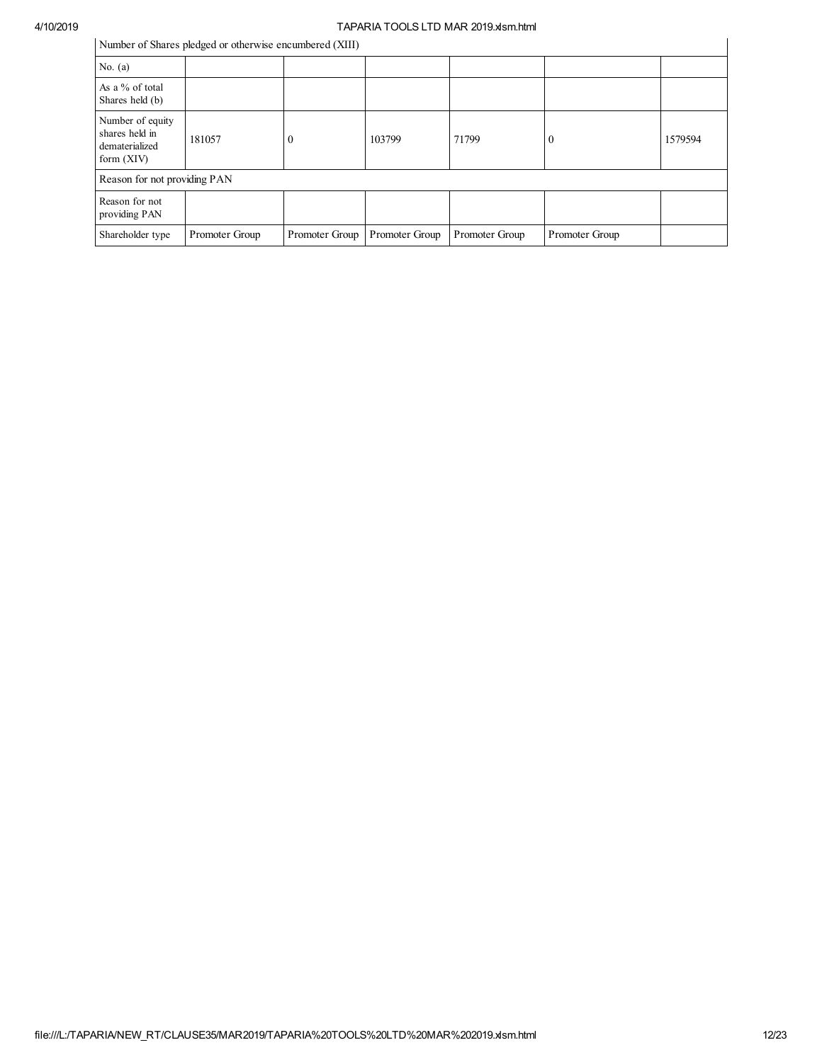# 4/10/2019<br>
Number of Shares pladed an attenuing againstead (VIII)<br>
University and the sumber of Change pladed and the sumber of CNIII)

Number of Shares pledged or otherwise encumbered (XIII)

| Number of Shares pledged or otherwise encumbered (XIII)              |                |                |                |                |                |         |  |  |  |  |
|----------------------------------------------------------------------|----------------|----------------|----------------|----------------|----------------|---------|--|--|--|--|
| No. $(a)$                                                            |                |                |                |                |                |         |  |  |  |  |
| As a % of total<br>Shares held (b)                                   |                |                |                |                |                |         |  |  |  |  |
| Number of equity<br>shares held in<br>dematerialized<br>form $(XIV)$ | 181057         | $\Omega$       | 103799         | 71799          | O              | 1579594 |  |  |  |  |
| Reason for not providing PAN                                         |                |                |                |                |                |         |  |  |  |  |
| Reason for not<br>providing PAN                                      |                |                |                |                |                |         |  |  |  |  |
| Shareholder type                                                     | Promoter Group | Promoter Group | Promoter Group | Promoter Group | Promoter Group |         |  |  |  |  |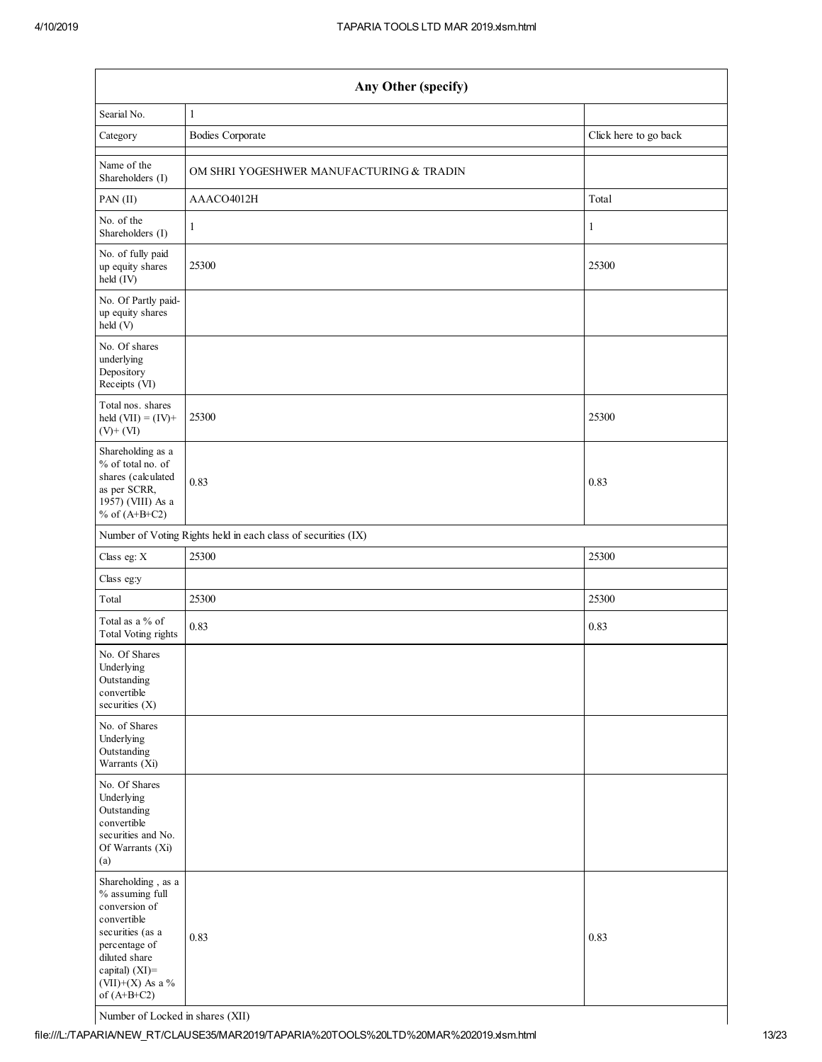| Any Other (specify)                                                                                                                                                                |                                                               |                       |  |  |  |  |
|------------------------------------------------------------------------------------------------------------------------------------------------------------------------------------|---------------------------------------------------------------|-----------------------|--|--|--|--|
| Searial No.                                                                                                                                                                        | $\mathbf{1}$                                                  |                       |  |  |  |  |
| Category                                                                                                                                                                           | <b>Bodies Corporate</b>                                       | Click here to go back |  |  |  |  |
| Name of the<br>Shareholders (I)                                                                                                                                                    | OM SHRI YOGESHWER MANUFACTURING & TRADIN                      |                       |  |  |  |  |
| PAN (II)                                                                                                                                                                           | AAACO4012H                                                    | Total                 |  |  |  |  |
| No. of the<br>Shareholders (I)                                                                                                                                                     | 1                                                             | 1                     |  |  |  |  |
| No. of fully paid<br>up equity shares<br>held (IV)                                                                                                                                 | 25300                                                         | 25300                 |  |  |  |  |
| No. Of Partly paid-<br>up equity shares<br>held (V)                                                                                                                                |                                                               |                       |  |  |  |  |
| No. Of shares<br>underlying<br>Depository<br>Receipts (VI)                                                                                                                         |                                                               |                       |  |  |  |  |
| Total nos. shares<br>held $(VII) = (IV) +$<br>$(V)+(VI)$                                                                                                                           | 25300                                                         | 25300                 |  |  |  |  |
| Shareholding as a<br>% of total no. of<br>shares (calculated<br>as per SCRR,<br>1957) (VIII) As a<br>% of $(A+B+C2)$                                                               | 0.83                                                          | 0.83                  |  |  |  |  |
|                                                                                                                                                                                    | Number of Voting Rights held in each class of securities (IX) |                       |  |  |  |  |
| Class eg: X                                                                                                                                                                        | 25300                                                         | 25300                 |  |  |  |  |
| Class eg:y                                                                                                                                                                         |                                                               |                       |  |  |  |  |
| Total                                                                                                                                                                              | 25300                                                         | 25300                 |  |  |  |  |
| Total as a % of<br><b>Total Voting rights</b>                                                                                                                                      | 0.83                                                          | 0.83                  |  |  |  |  |
| No. Of Shares<br>Underlying<br>Outstanding<br>convertible<br>securities (X)                                                                                                        |                                                               |                       |  |  |  |  |
| No. of Shares<br>Underlying<br>Outstanding<br>Warrants (Xi)                                                                                                                        |                                                               |                       |  |  |  |  |
| No. Of Shares<br>Underlying<br>Outstanding<br>convertible<br>securities and No.<br>Of Warrants (Xi)<br>(a)                                                                         |                                                               |                       |  |  |  |  |
| Shareholding, as a<br>% assuming full<br>conversion of<br>convertible<br>securities (as a<br>percentage of<br>diluted share<br>capital) (XI)=<br>(VII)+(X) As a %<br>of $(A+B+C2)$ | 0.83                                                          | 0.83                  |  |  |  |  |

Number of Locked in shares (XII)

file:///L:/TAPARIA/NEW\_RT/CLAUSE35/MAR2019/TAPARIA%20TOOLS%20LTD%20MAR%202019.xlsm.html 13/23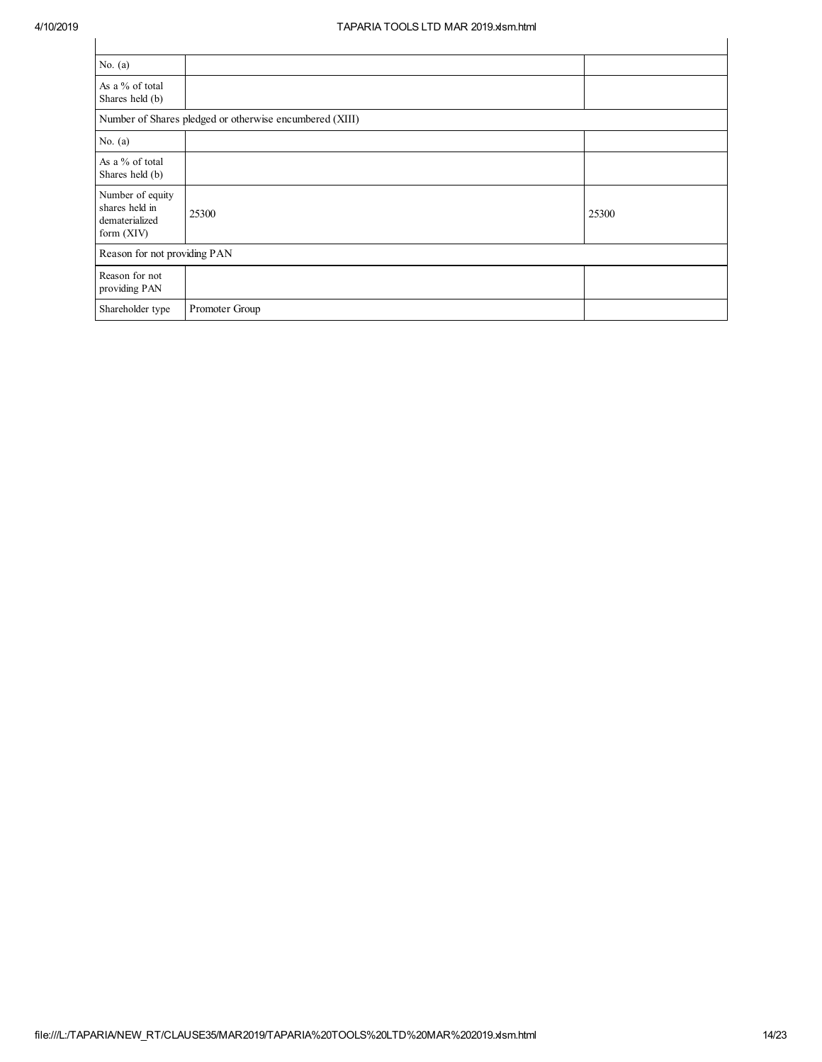| No. $(a)$                                                          |                                                         |       |
|--------------------------------------------------------------------|---------------------------------------------------------|-------|
| As a % of total<br>Shares held (b)                                 |                                                         |       |
|                                                                    | Number of Shares pledged or otherwise encumbered (XIII) |       |
| No. $(a)$                                                          |                                                         |       |
| As a % of total<br>Shares held (b)                                 |                                                         |       |
| Number of equity<br>shares held in<br>dematerialized<br>form (XIV) | 25300                                                   | 25300 |
| Reason for not providing PAN                                       |                                                         |       |
| Reason for not<br>providing PAN                                    |                                                         |       |
| Shareholder type                                                   | Promoter Group                                          |       |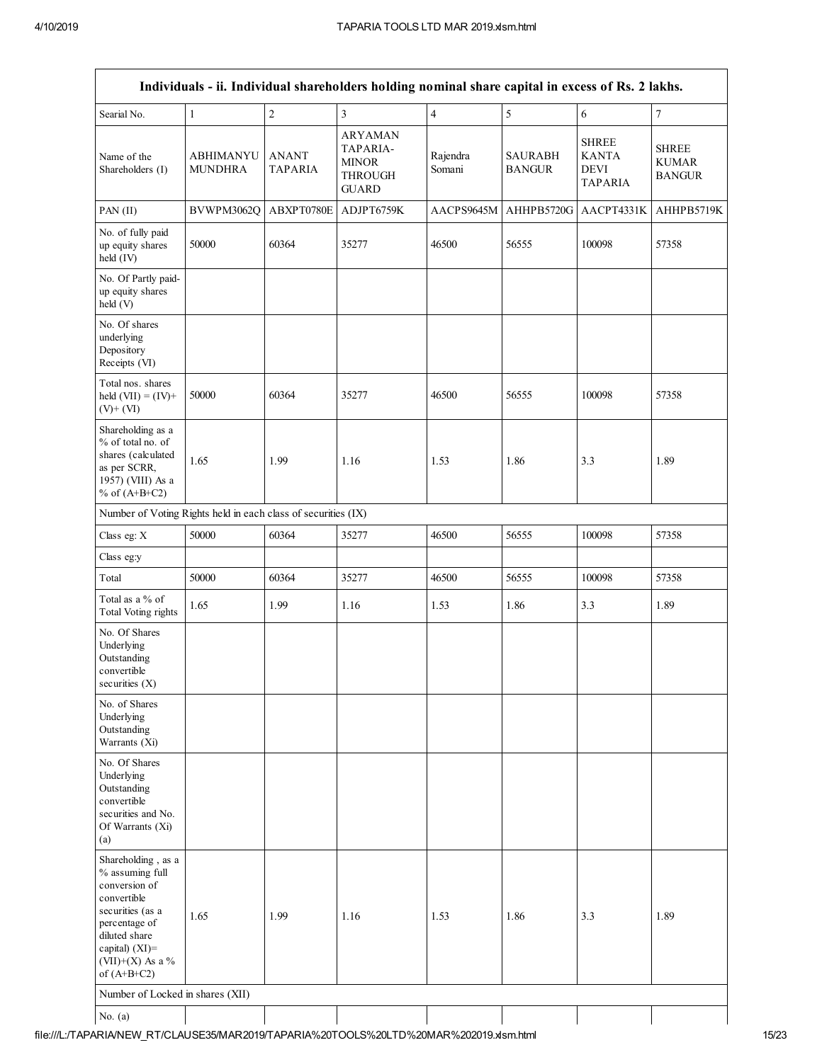|                                                                                                                                                                                       |                                    |                                |                                                                       | Individuals - ii. Individual shareholders holding nominal share capital in excess of Rs. 2 lakhs. |                                 |                                                               |                                               |
|---------------------------------------------------------------------------------------------------------------------------------------------------------------------------------------|------------------------------------|--------------------------------|-----------------------------------------------------------------------|---------------------------------------------------------------------------------------------------|---------------------------------|---------------------------------------------------------------|-----------------------------------------------|
| Searial No.                                                                                                                                                                           | $\mathbf{1}$                       | $\overline{2}$                 | $\overline{\mathbf{3}}$                                               | $\overline{4}$                                                                                    | $\sqrt{5}$                      | 6                                                             | $\overline{7}$                                |
| Name of the<br>Shareholders (I)                                                                                                                                                       | <b>ABHIMANYU</b><br><b>MUNDHRA</b> | <b>ANANT</b><br><b>TAPARIA</b> | <b>ARYAMAN</b><br>TAPARIA-<br><b>MINOR</b><br>THROUGH<br><b>GUARD</b> | Rajendra<br>Somani                                                                                | <b>SAURABH</b><br><b>BANGUR</b> | <b>SHREE</b><br><b>KANTA</b><br><b>DEVI</b><br><b>TAPARIA</b> | <b>SHREE</b><br><b>KUMAR</b><br><b>BANGUR</b> |
| PAN (II)                                                                                                                                                                              | BVWPM3062O                         | ABXPT0780E                     | ADJPT6759K                                                            | AACPS9645M                                                                                        | AHHPB5720G                      | AACPT4331K                                                    | AHHPB5719K                                    |
| No. of fully paid<br>up equity shares<br>held (IV)                                                                                                                                    | 50000                              | 60364                          | 35277                                                                 | 46500                                                                                             | 56555                           | 100098                                                        | 57358                                         |
| No. Of Partly paid-<br>up equity shares<br>held (V)                                                                                                                                   |                                    |                                |                                                                       |                                                                                                   |                                 |                                                               |                                               |
| No. Of shares<br>underlying<br>Depository<br>Receipts (VI)                                                                                                                            |                                    |                                |                                                                       |                                                                                                   |                                 |                                                               |                                               |
| Total nos. shares<br>held $(VII) = (IV) +$<br>$(V)$ + $(VI)$                                                                                                                          | 50000                              | 60364                          | 35277                                                                 | 46500                                                                                             | 56555                           | 100098                                                        | 57358                                         |
| Shareholding as a<br>% of total no. of<br>shares (calculated<br>as per SCRR,<br>1957) (VIII) As a<br>% of $(A+B+C2)$                                                                  | 1.65                               | 1.99                           | 1.16                                                                  | 1.53                                                                                              | 1.86                            | 3.3                                                           | 1.89                                          |
| Number of Voting Rights held in each class of securities (IX)                                                                                                                         |                                    |                                |                                                                       |                                                                                                   |                                 |                                                               |                                               |
| Class eg: X                                                                                                                                                                           | 50000                              | 60364                          | 35277                                                                 | 46500                                                                                             | 56555                           | 100098                                                        | 57358                                         |
| Class eg:y                                                                                                                                                                            |                                    |                                |                                                                       |                                                                                                   |                                 |                                                               |                                               |
| Total                                                                                                                                                                                 | 50000                              | 60364                          | 35277                                                                 | 46500                                                                                             | 56555                           | 100098                                                        | 57358                                         |
| Total as a % of<br><b>Total Voting rights</b>                                                                                                                                         | 1.65                               | 1.99                           | 1.16                                                                  | 1.53                                                                                              | 1.86                            | 3.3                                                           | 1.89                                          |
| No. Of Shares<br>Underlying<br>Outstanding<br>convertible<br>securities $(X)$                                                                                                         |                                    |                                |                                                                       |                                                                                                   |                                 |                                                               |                                               |
| No. of Shares<br>Underlying<br>Outstanding<br>Warrants (Xi)                                                                                                                           |                                    |                                |                                                                       |                                                                                                   |                                 |                                                               |                                               |
| No. Of Shares<br>Underlying<br>Outstanding<br>convertible<br>securities and No.<br>Of Warrants (Xi)<br>(a)                                                                            |                                    |                                |                                                                       |                                                                                                   |                                 |                                                               |                                               |
| Shareholding, as a<br>% assuming full<br>conversion of<br>convertible<br>securities (as a<br>percentage of<br>diluted share<br>capital) $(XI)$ =<br>(VII)+(X) As a %<br>of $(A+B+C2)$ | 1.65                               | 1.99                           | 1.16                                                                  | 1.53                                                                                              | 1.86                            | 3.3                                                           | 1.89                                          |
| Number of Locked in shares (XII)                                                                                                                                                      |                                    |                                |                                                                       |                                                                                                   |                                 |                                                               |                                               |
| No. $(a)$                                                                                                                                                                             |                                    |                                |                                                                       |                                                                                                   |                                 |                                                               |                                               |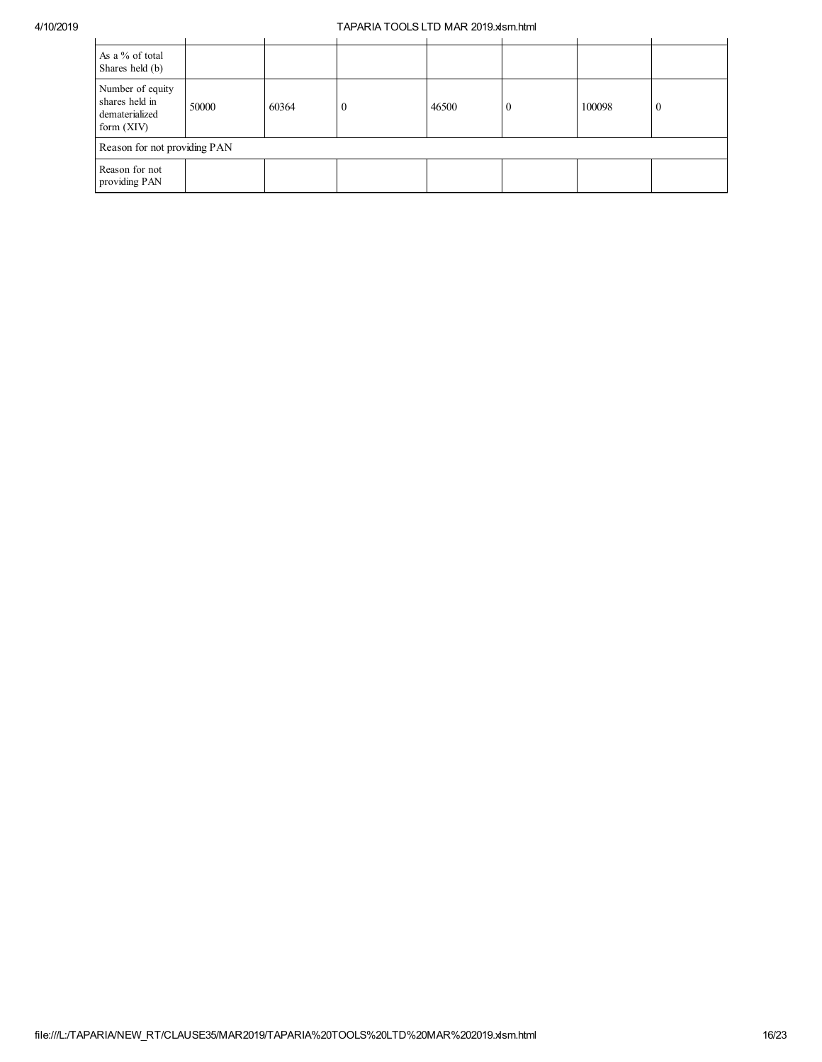| As a % of total<br>Shares held (b)                                   |       |       |  |       |          |        |              |
|----------------------------------------------------------------------|-------|-------|--|-------|----------|--------|--------------|
| Number of equity<br>shares held in<br>dematerialized<br>form $(XIV)$ | 50000 | 60364 |  | 46500 | $\bf{0}$ | 100098 | $\mathbf{0}$ |
| Reason for not providing PAN                                         |       |       |  |       |          |        |              |
| Reason for not<br>providing PAN                                      |       |       |  |       |          |        |              |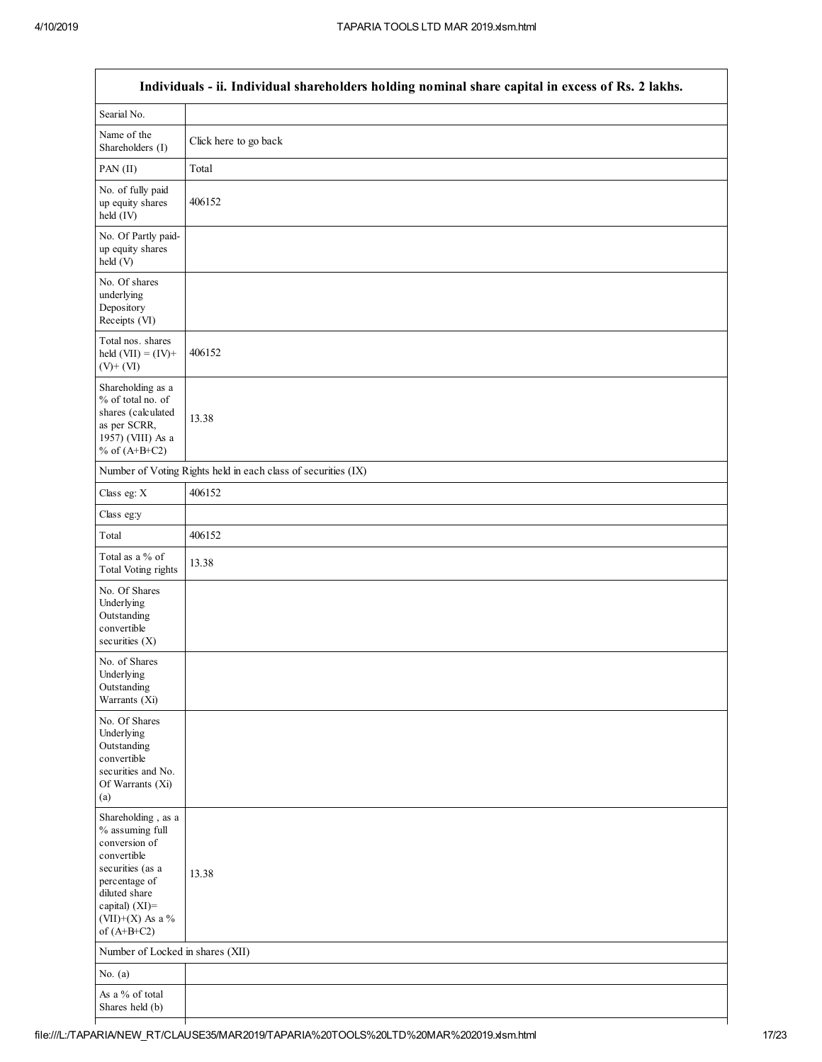|                                                                                                                                                                                         | Individuals - ii. Individual shareholders holding nominal share capital in excess of Rs. 2 lakhs. |
|-----------------------------------------------------------------------------------------------------------------------------------------------------------------------------------------|---------------------------------------------------------------------------------------------------|
| Searial No.                                                                                                                                                                             |                                                                                                   |
| Name of the<br>Shareholders (I)                                                                                                                                                         | Click here to go back                                                                             |
| PAN (II)                                                                                                                                                                                | Total                                                                                             |
| No. of fully paid<br>up equity shares<br>held (IV)                                                                                                                                      | 406152                                                                                            |
| No. Of Partly paid-<br>up equity shares<br>held (V)                                                                                                                                     |                                                                                                   |
| No. Of shares<br>underlying<br>Depository<br>Receipts (VI)                                                                                                                              |                                                                                                   |
| Total nos. shares<br>held $(VII) = (IV) +$<br>$(V)$ + $(VI)$                                                                                                                            | 406152                                                                                            |
| Shareholding as a<br>% of total no. of<br>shares (calculated<br>as per SCRR,<br>1957) (VIII) As a<br>% of $(A+B+C2)$                                                                    | 13.38                                                                                             |
|                                                                                                                                                                                         | Number of Voting Rights held in each class of securities (IX)                                     |
| Class eg: X                                                                                                                                                                             | 406152                                                                                            |
| Class eg:y                                                                                                                                                                              |                                                                                                   |
| Total                                                                                                                                                                                   | 406152                                                                                            |
| Total as a % of<br><b>Total Voting rights</b>                                                                                                                                           | 13.38                                                                                             |
| No. Of Shares<br>Underlying<br>Outstanding<br>convertible<br>securities $(X)$                                                                                                           |                                                                                                   |
| No. of Shares<br>Underlying<br>Outstanding<br>Warrants (Xi)                                                                                                                             |                                                                                                   |
| No. Of Shares<br>Underlying<br>Outstanding<br>convertible<br>securities and No.<br>Of Warrants (Xi)<br>(a)                                                                              |                                                                                                   |
| Shareholding, as a<br>% assuming full<br>conversion of<br>convertible<br>securities (as a<br>percentage of<br>diluted share<br>capital) $(XI)$ =<br>$(VII)+(X)$ As a %<br>of $(A+B+C2)$ | 13.38                                                                                             |
| Number of Locked in shares (XII)                                                                                                                                                        |                                                                                                   |
| No. $(a)$                                                                                                                                                                               |                                                                                                   |
| As a % of total<br>Shares held (b)                                                                                                                                                      |                                                                                                   |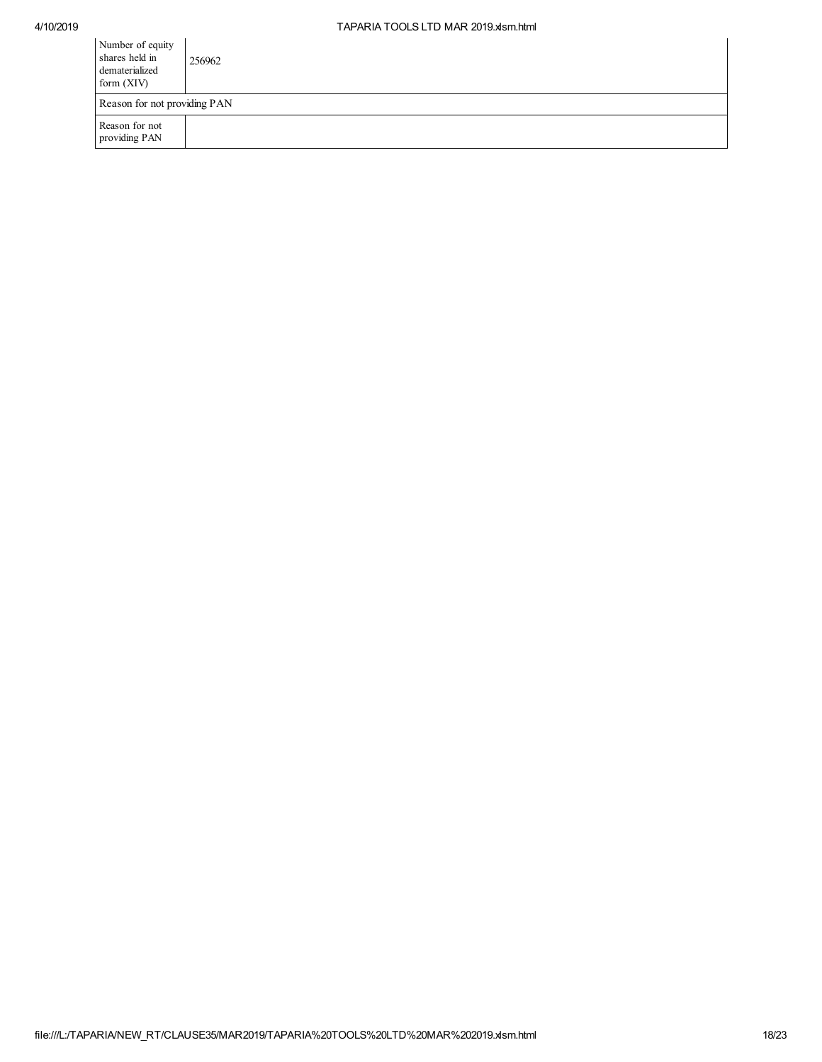| Number of equity<br>shares held in<br>dematerialized<br>form $(XIV)$ | 256962                       |  |  |  |  |
|----------------------------------------------------------------------|------------------------------|--|--|--|--|
|                                                                      | Reason for not providing PAN |  |  |  |  |
| Reason for not<br>providing PAN                                      |                              |  |  |  |  |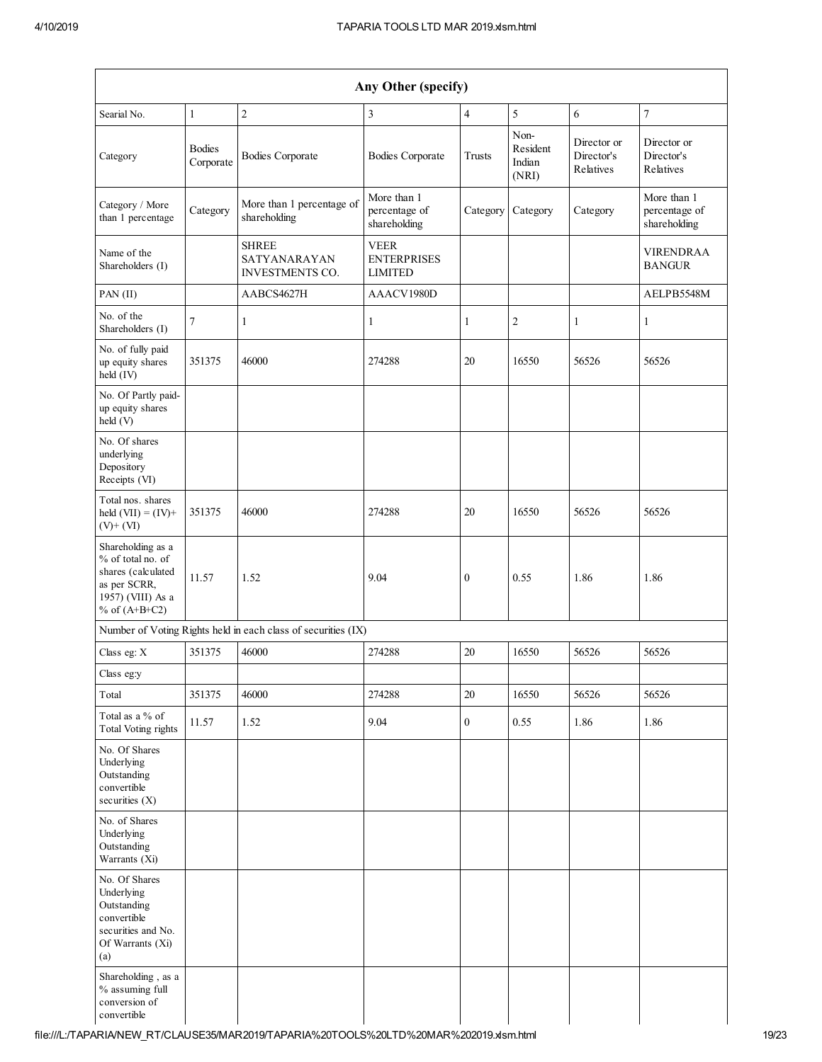| Any Other (specify)                                                                                                  |                            |                                                               |                                                     |                  |                                     |                                        |                                              |
|----------------------------------------------------------------------------------------------------------------------|----------------------------|---------------------------------------------------------------|-----------------------------------------------------|------------------|-------------------------------------|----------------------------------------|----------------------------------------------|
| Searial No.                                                                                                          | $\mathbf{1}$               | $\boldsymbol{2}$                                              | $\mathfrak{Z}$                                      | $\overline{4}$   | $\sqrt{5}$                          | 6                                      | $\boldsymbol{7}$                             |
| Category                                                                                                             | <b>Bodies</b><br>Corporate | <b>Bodies Corporate</b>                                       | <b>Bodies Corporate</b>                             | Trusts           | Non-<br>Resident<br>Indian<br>(NRI) | Director or<br>Director's<br>Relatives | Director or<br>Director's<br>Relatives       |
| Category / More<br>than 1 percentage                                                                                 | Category                   | More than 1 percentage of<br>shareholding                     | More than 1<br>percentage of<br>shareholding        | Category         | Category                            | Category                               | More than 1<br>percentage of<br>shareholding |
| Name of the<br>Shareholders (I)                                                                                      |                            | <b>SHREE</b><br>SATYANARAYAN<br><b>INVESTMENTS CO.</b>        | <b>VEER</b><br><b>ENTERPRISES</b><br><b>LIMITED</b> |                  |                                     |                                        | <b>VIRENDRAA</b><br><b>BANGUR</b>            |
| PAN(II)                                                                                                              |                            | AABCS4627H                                                    | AAACV1980D                                          |                  |                                     |                                        | AELPB5548M                                   |
| No. of the<br>Shareholders (I)                                                                                       | 7                          | $\mathbf{1}$                                                  | $\mathbf{1}$                                        | 1                | $\overline{c}$                      | 1                                      | 1                                            |
| No. of fully paid<br>up equity shares<br>held (IV)                                                                   | 351375                     | 46000                                                         | 274288                                              | 20               | 16550                               | 56526                                  | 56526                                        |
| No. Of Partly paid-<br>up equity shares<br>held (V)                                                                  |                            |                                                               |                                                     |                  |                                     |                                        |                                              |
| No. Of shares<br>underlying<br>Depository<br>Receipts (VI)                                                           |                            |                                                               |                                                     |                  |                                     |                                        |                                              |
| Total nos. shares<br>held $(VII) = (IV) +$<br>$(V)$ + $(VI)$                                                         | 351375                     | 46000                                                         | 274288                                              | 20               | 16550                               | 56526                                  | 56526                                        |
| Shareholding as a<br>% of total no. of<br>shares (calculated<br>as per SCRR,<br>1957) (VIII) As a<br>% of $(A+B+C2)$ | 11.57                      | 1.52                                                          | 9.04                                                | $\boldsymbol{0}$ | 0.55                                | 1.86                                   | 1.86                                         |
|                                                                                                                      |                            | Number of Voting Rights held in each class of securities (IX) |                                                     |                  |                                     |                                        |                                              |
| Class eg: X                                                                                                          | 351375                     | 46000                                                         | 274288                                              | 20               | 16550                               | 56526                                  | 56526                                        |
| Class eg:y                                                                                                           |                            |                                                               |                                                     |                  |                                     |                                        |                                              |
| Total                                                                                                                | 351375                     | 46000                                                         | 274288                                              | $20\,$           | 16550                               | 56526                                  | 56526                                        |
| Total as a $\%$ of<br><b>Total Voting rights</b>                                                                     | 11.57                      | 1.52                                                          | 9.04                                                | $\overline{0}$   | 0.55                                | 1.86                                   | 1.86                                         |
| No. Of Shares<br>Underlying<br>Outstanding<br>convertible<br>securities (X)                                          |                            |                                                               |                                                     |                  |                                     |                                        |                                              |
| No. of Shares<br>Underlying<br>Outstanding<br>Warrants (Xi)                                                          |                            |                                                               |                                                     |                  |                                     |                                        |                                              |
| No. Of Shares<br>Underlying<br>Outstanding<br>convertible<br>securities and No.<br>Of Warrants (Xi)<br>(a)           |                            |                                                               |                                                     |                  |                                     |                                        |                                              |
| Shareholding, as a<br>% assuming full<br>conversion of<br>convertible                                                |                            |                                                               |                                                     |                  |                                     |                                        |                                              |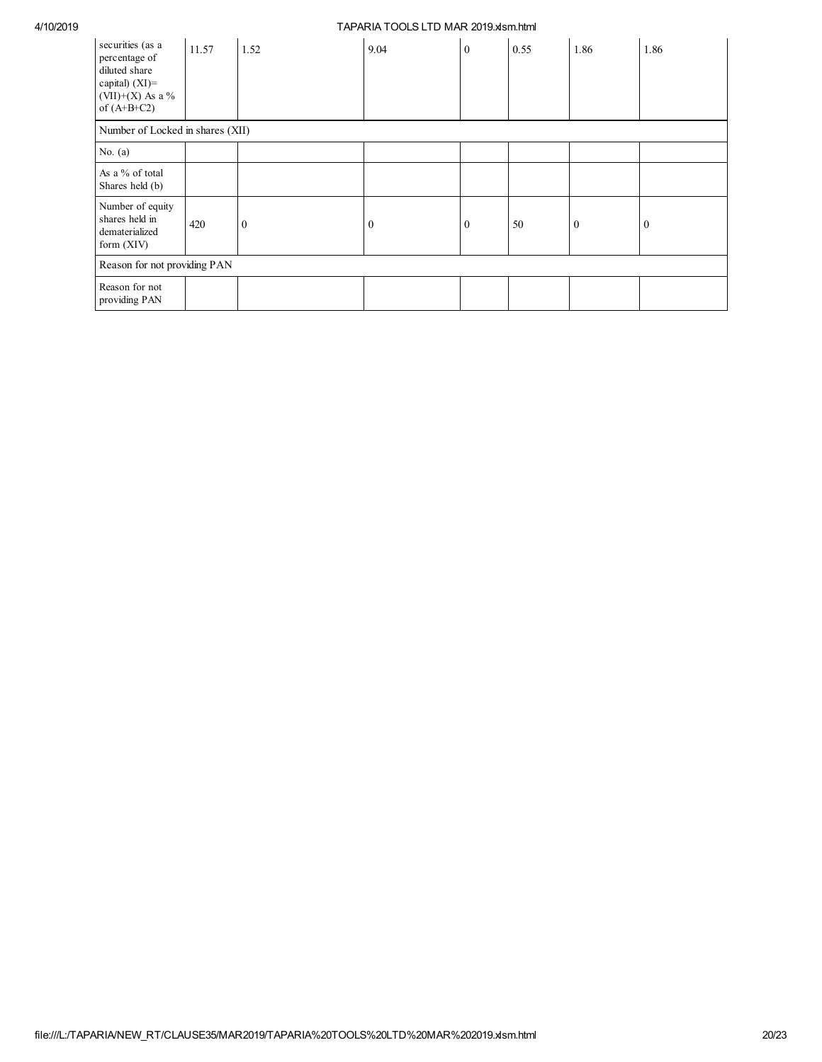| securities (as a<br>percentage of<br>diluted share<br>capital) $(XI)$ =<br>$(VII)+(X)$ As a %<br>of $(A+B+C2)$ | 11.57 | 1.52         | 9.04     | $\mathbf{0}$ | 0.55 | 1.86     | 1.86         |
|----------------------------------------------------------------------------------------------------------------|-------|--------------|----------|--------------|------|----------|--------------|
| Number of Locked in shares (XII)                                                                               |       |              |          |              |      |          |              |
| No. $(a)$                                                                                                      |       |              |          |              |      |          |              |
| As a % of total<br>Shares held (b)                                                                             |       |              |          |              |      |          |              |
| Number of equity<br>shares held in<br>dematerialized<br>form (XIV)                                             | 420   | $\mathbf{0}$ | $\bf{0}$ | $\mathbf{0}$ | 50   | $\theta$ | $\mathbf{0}$ |
| Reason for not providing PAN                                                                                   |       |              |          |              |      |          |              |
| Reason for not<br>providing PAN                                                                                |       |              |          |              |      |          |              |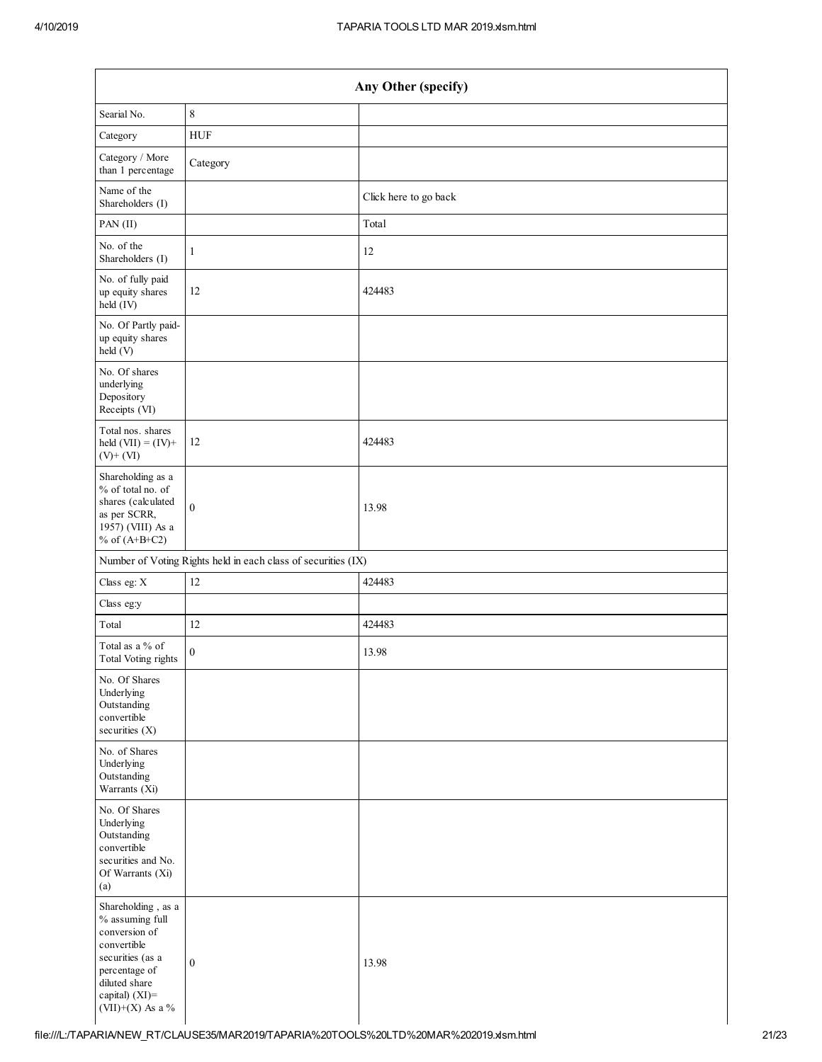|                                                                                                                                                                   | Any Other (specify)                                           |                       |  |  |  |  |
|-------------------------------------------------------------------------------------------------------------------------------------------------------------------|---------------------------------------------------------------|-----------------------|--|--|--|--|
| Searial No.                                                                                                                                                       | $\,$ $\,$                                                     |                       |  |  |  |  |
| Category                                                                                                                                                          | ${\rm HUF}$                                                   |                       |  |  |  |  |
| Category / More<br>than 1 percentage                                                                                                                              | Category                                                      |                       |  |  |  |  |
| Name of the<br>Shareholders (I)                                                                                                                                   |                                                               | Click here to go back |  |  |  |  |
| PAN (II)                                                                                                                                                          |                                                               | Total                 |  |  |  |  |
| No. of the<br>Shareholders (I)                                                                                                                                    | $\mathbf{1}$                                                  | 12                    |  |  |  |  |
| No. of fully paid<br>up equity shares<br>held (IV)                                                                                                                | 12                                                            | 424483                |  |  |  |  |
| No. Of Partly paid-<br>up equity shares<br>held (V)                                                                                                               |                                                               |                       |  |  |  |  |
| No. Of shares<br>underlying<br>Depository<br>Receipts (VI)                                                                                                        |                                                               |                       |  |  |  |  |
| Total nos. shares<br>held $(VII) = (IV) +$<br>$(V)$ + $(VI)$                                                                                                      | 12                                                            | 424483                |  |  |  |  |
| Shareholding as a<br>% of total no. of<br>shares (calculated<br>as per SCRR,<br>1957) (VIII) As a<br>% of $(A+B+C2)$                                              | $\mathbf{0}$                                                  | 13.98                 |  |  |  |  |
|                                                                                                                                                                   | Number of Voting Rights held in each class of securities (IX) |                       |  |  |  |  |
| Class eg: X                                                                                                                                                       | 12                                                            | 424483                |  |  |  |  |
| Class eg:y                                                                                                                                                        |                                                               |                       |  |  |  |  |
| Total                                                                                                                                                             | 12                                                            | 424483                |  |  |  |  |
| Total as a % of<br>Total Voting rights                                                                                                                            | $\boldsymbol{0}$                                              | 13.98                 |  |  |  |  |
| No. Of Shares<br>Underlying<br>Outstanding<br>convertible<br>securities (X)                                                                                       |                                                               |                       |  |  |  |  |
| No. of Shares<br>Underlying<br>Outstanding<br>Warrants (Xi)                                                                                                       |                                                               |                       |  |  |  |  |
| No. Of Shares<br>Underlying<br>Outstanding<br>convertible<br>securities and No.<br>Of Warrants (Xi)<br>(a)                                                        |                                                               |                       |  |  |  |  |
| Shareholding, as a<br>% assuming full<br>conversion of<br>convertible<br>securities (as a<br>percentage of<br>diluted share<br>capital) (XI)=<br>(VII)+(X) As a % | $\boldsymbol{0}$                                              | 13.98                 |  |  |  |  |